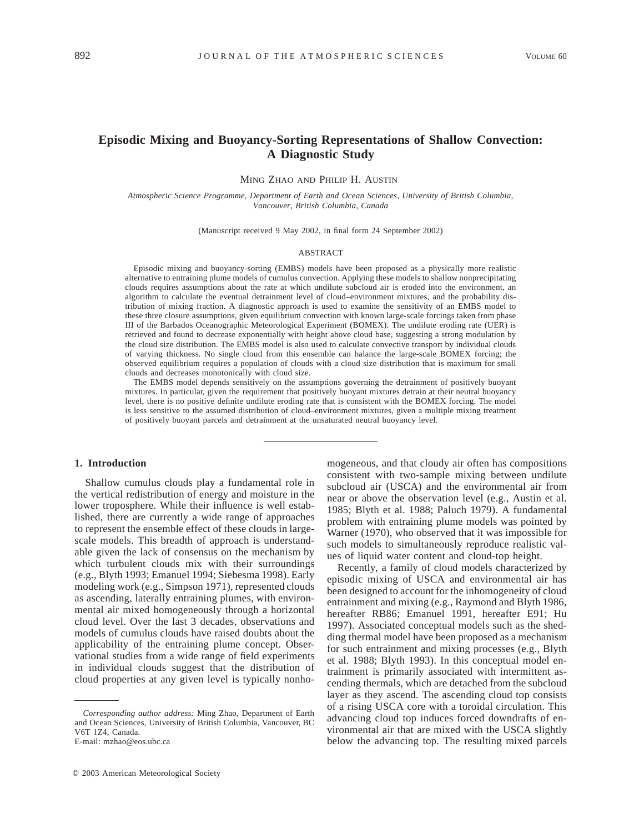# **Episodic Mixing and Buoyancy-Sorting Representations of Shallow Convection: A Diagnostic Study**

MING ZHAO AND PHILIP H. AUSTIN

*Atmospheric Science Programme, Department of Earth and Ocean Sciences, University of British Columbia, Vancouver, British Columbia, Canada*

(Manuscript received 9 May 2002, in final form 24 September 2002)

#### ABSTRACT

Episodic mixing and buoyancy-sorting (EMBS) models have been proposed as a physically more realistic alternative to entraining plume models of cumulus convection. Applying these models to shallow nonprecipitating clouds requires assumptions about the rate at which undilute subcloud air is eroded into the environment, an algorithm to calculate the eventual detrainment level of cloud–environment mixtures, and the probability distribution of mixing fraction. A diagnostic approach is used to examine the sensitivity of an EMBS model to these three closure assumptions, given equilibrium convection with known large-scale forcings taken from phase III of the Barbados Oceanographic Meteorological Experiment (BOMEX). The undilute eroding rate (UER) is retrieved and found to decrease exponentially with height above cloud base, suggesting a strong modulation by the cloud size distribution. The EMBS model is also used to calculate convective transport by individual clouds of varying thickness. No single cloud from this ensemble can balance the large-scale BOMEX forcing; the observed equilibrium requires a population of clouds with a cloud size distribution that is maximum for small clouds and decreases monotonically with cloud size.

The EMBS model depends sensitively on the assumptions governing the detrainment of positively buoyant mixtures. In particular, given the requirement that positively buoyant mixtures detrain at their neutral buoyancy level, there is no positive definite undilute eroding rate that is consistent with the BOMEX forcing. The model is less sensitive to the assumed distribution of cloud–environment mixtures, given a multiple mixing treatment of positively buoyant parcels and detrainment at the unsaturated neutral buoyancy level.

### **1. Introduction**

Shallow cumulus clouds play a fundamental role in the vertical redistribution of energy and moisture in the lower troposphere. While their influence is well established, there are currently a wide range of approaches to represent the ensemble effect of these clouds in largescale models. This breadth of approach is understandable given the lack of consensus on the mechanism by which turbulent clouds mix with their surroundings (e.g., Blyth 1993; Emanuel 1994; Siebesma 1998). Early modeling work (e.g., Simpson 1971), represented clouds as ascending, laterally entraining plumes, with environmental air mixed homogeneously through a horizontal cloud level. Over the last 3 decades, observations and models of cumulus clouds have raised doubts about the applicability of the entraining plume concept. Observational studies from a wide range of field experiments in individual clouds suggest that the distribution of cloud properties at any given level is typically nonho-

E-mail: mzhao@eos.ubc.ca

mogeneous, and that cloudy air often has compositions consistent with two-sample mixing between undilute subcloud air (USCA) and the environmental air from near or above the observation level (e.g., Austin et al. 1985; Blyth et al. 1988; Paluch 1979). A fundamental problem with entraining plume models was pointed by Warner (1970), who observed that it was impossible for such models to simultaneously reproduce realistic values of liquid water content and cloud-top height.

Recently, a family of cloud models characterized by episodic mixing of USCA and environmental air has been designed to account for the inhomogeneity of cloud entrainment and mixing (e.g., Raymond and Blyth 1986, hereafter RB86; Emanuel 1991, hereafter E91; Hu 1997). Associated conceptual models such as the shedding thermal model have been proposed as a mechanism for such entrainment and mixing processes (e.g., Blyth et al. 1988; Blyth 1993). In this conceptual model entrainment is primarily associated with intermittent ascending thermals, which are detached from the subcloud layer as they ascend. The ascending cloud top consists of a rising USCA core with a toroidal circulation. This advancing cloud top induces forced downdrafts of environmental air that are mixed with the USCA slightly below the advancing top. The resulting mixed parcels

*Corresponding author address:* Ming Zhao, Department of Earth and Ocean Sciences, University of British Columbia, Vancouver, BC V6T 1Z4, Canada.

 $© 2003$  American Meteorological Society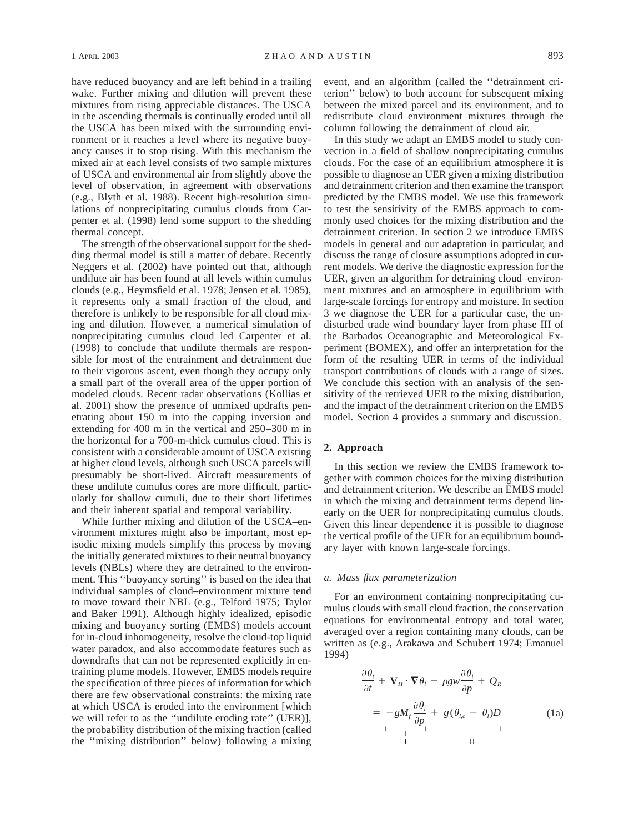have reduced buoyancy and are left behind in a trailing wake. Further mixing and dilution will prevent these mixtures from rising appreciable distances. The USCA in the ascending thermals is continually eroded until all the USCA has been mixed with the surrounding environment or it reaches a level where its negative buoyancy causes it to stop rising. With this mechanism the mixed air at each level consists of two sample mixtures of USCA and environmental air from slightly above the level of observation, in agreement with observations (e.g., Blyth et al. 1988). Recent high-resolution simulations of nonprecipitating cumulus clouds from Carpenter et al. (1998) lend some support to the shedding thermal concept.

The strength of the observational support for the shedding thermal model is still a matter of debate. Recently Neggers et al. (2002) have pointed out that, although undilute air has been found at all levels within cumulus clouds (e.g., Heymsfield et al. 1978; Jensen et al. 1985), it represents only a small fraction of the cloud, and therefore is unlikely to be responsible for all cloud mixing and dilution. However, a numerical simulation of nonprecipitating cumulus cloud led Carpenter et al. (1998) to conclude that undilute thermals are responsible for most of the entrainment and detrainment due to their vigorous ascent, even though they occupy only a small part of the overall area of the upper portion of modeled clouds. Recent radar observations (Kollias et al. 2001) show the presence of unmixed updrafts penetrating about 150 m into the capping inversion and extending for 400 m in the vertical and 250–300 m in the horizontal for a 700-m-thick cumulus cloud. This is consistent with a considerable amount of USCA existing at higher cloud levels, although such USCA parcels will presumably be short-lived. Aircraft measurements of these undilute cumulus cores are more difficult, particularly for shallow cumuli, due to their short lifetimes and their inherent spatial and temporal variability.

While further mixing and dilution of the USCA–environment mixtures might also be important, most episodic mixing models simplify this process by moving the initially generated mixtures to their neutral buoyancy levels (NBLs) where they are detrained to the environment. This ''buoyancy sorting'' is based on the idea that individual samples of cloud–environment mixture tend to move toward their NBL (e.g., Telford 1975; Taylor and Baker 1991). Although highly idealized, episodic mixing and buoyancy sorting (EMBS) models account for in-cloud inhomogeneity, resolve the cloud-top liquid water paradox, and also accommodate features such as downdrafts that can not be represented explicitly in entraining plume models. However, EMBS models require the specification of three pieces of information for which there are few observational constraints: the mixing rate at which USCA is eroded into the environment [which we will refer to as the ''undilute eroding rate'' (UER)], the probability distribution of the mixing fraction (called the ''mixing distribution'' below) following a mixing event, and an algorithm (called the ''detrainment criterion'' below) to both account for subsequent mixing between the mixed parcel and its environment, and to redistribute cloud–environment mixtures through the column following the detrainment of cloud air.

In this study we adapt an EMBS model to study convection in a field of shallow nonprecipitating cumulus clouds. For the case of an equilibrium atmosphere it is possible to diagnose an UER given a mixing distribution and detrainment criterion and then examine the transport predicted by the EMBS model. We use this framework to test the sensitivity of the EMBS approach to commonly used choices for the mixing distribution and the detrainment criterion. In section 2 we introduce EMBS models in general and our adaptation in particular, and discuss the range of closure assumptions adopted in current models. We derive the diagnostic expression for the UER, given an algorithm for detraining cloud–environment mixtures and an atmosphere in equilibrium with large-scale forcings for entropy and moisture. In section 3 we diagnose the UER for a particular case, the undisturbed trade wind boundary layer from phase III of the Barbados Oceanographic and Meteorological Experiment (BOMEX), and offer an interpretation for the form of the resulting UER in terms of the individual transport contributions of clouds with a range of sizes. We conclude this section with an analysis of the sensitivity of the retrieved UER to the mixing distribution, and the impact of the detrainment criterion on the EMBS model. Section 4 provides a summary and discussion.

## **2. Approach**

In this section we review the EMBS framework together with common choices for the mixing distribution and detrainment criterion. We describe an EMBS model in which the mixing and detrainment terms depend linearly on the UER for nonprecipitating cumulus clouds. Given this linear dependence it is possible to diagnose the vertical profile of the UER for an equilibrium boundary layer with known large-scale forcings.

### *a. Mass flux parameterization*

For an environment containing nonprecipitating cumulus clouds with small cloud fraction, the conservation equations for environmental entropy and total water, averaged over a region containing many clouds, can be written as (e.g., Arakawa and Schubert 1974; Emanuel 1994)

$$
\frac{\partial \theta_i}{\partial t} + \mathbf{V}_H \cdot \nabla \theta_i - \rho g w \frac{\partial \theta_i}{\partial p} + Q_R
$$
\n
$$
= -g M_f \frac{\partial \theta_i}{\partial p} + g (\theta_{l,c} - \theta_l) D \tag{1a}
$$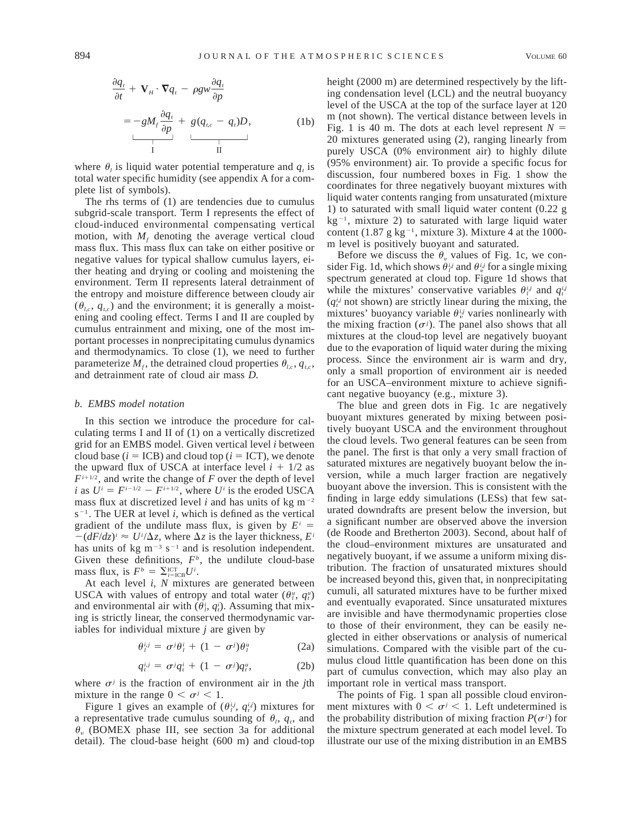$$
\frac{\partial q_t}{\partial t} + \mathbf{V}_H \cdot \nabla q_t - \rho g w \frac{\partial q_t}{\partial p}
$$
\n
$$
= -g M_f \frac{\partial q_t}{\partial p} + g (q_{tc} - q_t) D, \qquad (1b)
$$

where  $\theta_i$  is liquid water potential temperature and  $q_t$  is total water specific humidity (see appendix A for a complete list of symbols).

The rhs terms of (1) are tendencies due to cumulus subgrid-scale transport. Term I represents the effect of cloud-induced environmental compensating vertical motion, with  $M_f$  denoting the average vertical cloud mass flux. This mass flux can take on either positive or negative values for typical shallow cumulus layers, either heating and drying or cooling and moistening the environment. Term II represents lateral detrainment of the entropy and moisture difference between cloudy air  $(\theta_{l,c}, q_{l,c})$  and the environment; it is generally a moistening and cooling effect. Terms I and II are coupled by cumulus entrainment and mixing, one of the most important processes in nonprecipitating cumulus dynamics and thermodynamics. To close (1), we need to further parameterize  $M_f$ , the detrained cloud properties  $\theta_{l,c}$ ,  $q_{tc}$ , and detrainment rate of cloud air mass *D.*

#### *b. EMBS model notation*

In this section we introduce the procedure for calculating terms I and II of (1) on a vertically discretized grid for an EMBS model. Given vertical level *i* between cloud base  $(i = ICB)$  and cloud top  $(i = ICT)$ , we denote the upward flux of USCA at interface level  $i + 1/2$  as  $F^{i+1/2}$ , and write the change of  $F$  over the depth of level *i* as  $U^i = F^{i-1/2} - F^{i+1/2}$ , where *U<sup>i</sup>* is the eroded USCA mass flux at discretized level *i* and has units of kg  $m^{-2}$  $s^{-1}$ . The UER at level *i*, which is defined as the vertical gradient of the undilute mass flux, is given by  $E^i$  =  $-(dF/dz)^i \approx U^i/\Delta z$ , where  $\Delta z$  is the layer thickness,  $E^i$ has units of kg  $m^{-3}$  s<sup>-1</sup> and is resolution independent. Given these definitions,  $F<sup>b</sup>$ , the undilute cloud-base mass flux, is  $F^b = \sum_{i=ICB}^{ICT} U^i$ .

At each level *i, N* mixtures are generated between USCA with values of entropy and total water  $(\theta_i^u, q_i^u)$ and environmental air with  $(\theta_i^i, q_i^i)$ . Assuming that mixing is strictly linear, the conserved thermodynamic variables for individual mixture *j* are given by

$$
\theta_i^{i,j} = \sigma^j \theta_i^i + (1 - \sigma^j) \theta_i^u \tag{2a}
$$

$$
q_t^{i,j} = \sigma^j q_t^i + (1 - \sigma^j) q_t^u, \qquad (2b)
$$

where  $\sigma^j$  is the fraction of environment air in the *j*th mixture in the range  $0 < \sigma^j < 1$ .

Figure 1 gives an example of  $(\theta_i^{i,j}, q_i^{i,j})$  mixtures for a representative trade cumulus sounding of  $\theta_i$ ,  $q_i$ , and  $\theta_{\nu}$  (BOMEX phase III, see section 3a for additional detail). The cloud-base height (600 m) and cloud-top height (2000 m) are determined respectively by the lifting condensation level (LCL) and the neutral buoyancy level of the USCA at the top of the surface layer at 120 m (not shown). The vertical distance between levels in Fig. 1 is 40 m. The dots at each level represent  $N =$ 20 mixtures generated using (2), ranging linearly from purely USCA (0% environment air) to highly dilute (95% environment) air. To provide a specific focus for discussion, four numbered boxes in Fig. 1 show the coordinates for three negatively buoyant mixtures with liquid water contents ranging from unsaturated (mixture 1) to saturated with small liquid water content (0.22 g  $kg^{-1}$ , mixture 2) to saturated with large liquid water content (1.87 g kg<sup>-1</sup>, mixture 3). Mixture 4 at the 1000m level is positively buoyant and saturated.

Before we discuss the  $\theta_{\nu}$  values of Fig. 1c, we consider Fig. 1d, which shows  $\theta_i^{i,j}$  and  $\theta_i^{i,j}$  for a single mixing spectrum generated at cloud top. Figure 1d shows that while the mixtures' conservative variables  $\theta_i^{i,j}$  and  $q_i^{i,j}$  $(q_i^{i,j}$  not shown) are strictly linear during the mixing, the mixtures' buoyancy variable  $\theta_{ij}^{ij}$  varies nonlinearly with the mixing fraction  $(\sigma^j)$ . The panel also shows that all mixtures at the cloud-top level are negatively buoyant due to the evaporation of liquid water during the mixing process. Since the environment air is warm and dry, only a small proportion of environment air is needed for an USCA–environment mixture to achieve significant negative buoyancy (e.g., mixture 3).

The blue and green dots in Fig. 1c are negatively buoyant mixtures generated by mixing between positively buoyant USCA and the environment throughout the cloud levels. Two general features can be seen from the panel. The first is that only a very small fraction of saturated mixtures are negatively buoyant below the inversion, while a much larger fraction are negatively buoyant above the inversion. This is consistent with the finding in large eddy simulations (LESs) that few saturated downdrafts are present below the inversion, but a significant number are observed above the inversion (de Roode and Bretherton 2003). Second, about half of the cloud–environment mixtures are unsaturated and negatively buoyant, if we assume a uniform mixing distribution. The fraction of unsaturated mixtures should be increased beyond this, given that, in nonprecipitating cumuli, all saturated mixtures have to be further mixed and eventually evaporated. Since unsaturated mixtures are invisible and have thermodynamic properties close to those of their environment, they can be easily neglected in either observations or analysis of numerical simulations. Compared with the visible part of the cumulus cloud little quantification has been done on this part of cumulus convection, which may also play an important role in vertical mass transport.

The points of Fig. 1 span all possible cloud environment mixtures with  $0 < \sigma^j < 1$ . Left undetermined is the probability distribution of mixing fraction  $P(\sigma^j)$  for the mixture spectrum generated at each model level. To illustrate our use of the mixing distribution in an EMBS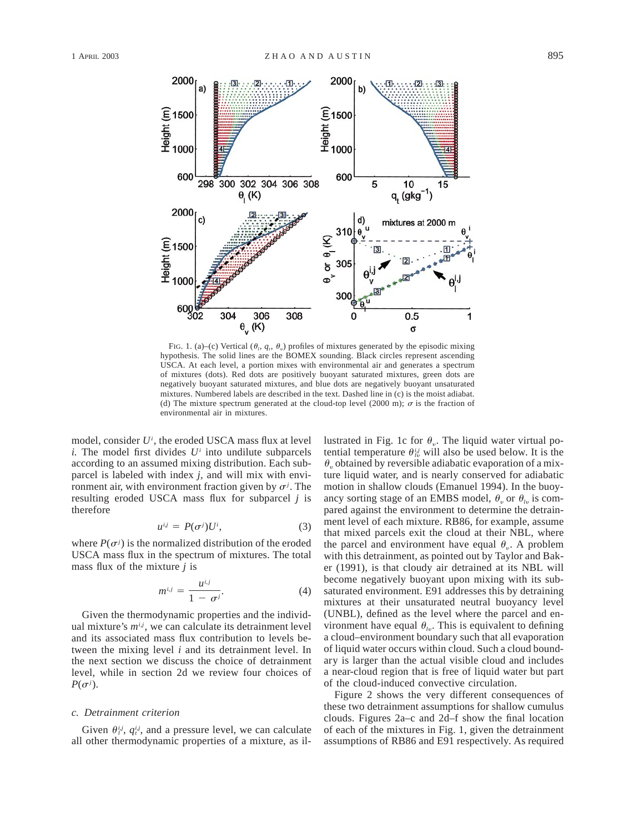

FIG. 1. (a)–(c) Vertical  $(\theta_i, q_i, \theta_v)$  profiles of mixtures generated by the episodic mixing hypothesis. The solid lines are the BOMEX sounding. Black circles represent ascending USCA. At each level, a portion mixes with environmental air and generates a spectrum of mixtures (dots). Red dots are positively buoyant saturated mixtures, green dots are negatively buoyant saturated mixtures, and blue dots are negatively buoyant unsaturated mixtures. Numbered labels are described in the text. Dashed line in (c) is the moist adiabat. (d) The mixture spectrum generated at the cloud-top level (2000 m);  $\sigma$  is the fraction of environmental air in mixtures.

model, consider *Ui* , the eroded USCA mass flux at level  $i$ . The model first divides  $U^i$  into undilute subparcels according to an assumed mixing distribution. Each subparcel is labeled with index *j,* and will mix with environment air, with environment fraction given by  $\sigma^j$ . The resulting eroded USCA mass flux for subparcel *j* is therefore

$$
u^{i,j} = P(\sigma^j)U^i, \tag{3}
$$

where  $P(\sigma^j)$  is the normalized distribution of the eroded USCA mass flux in the spectrum of mixtures. The total mass flux of the mixture *j* is

$$
m^{i,j} = \frac{u^{i,j}}{1 - \sigma^j}.
$$
 (4)

Given the thermodynamic properties and the individual mixture's  $m^{i,j}$ , we can calculate its detrainment level and its associated mass flux contribution to levels between the mixing level *i* and its detrainment level. In the next section we discuss the choice of detrainment level, while in section 2d we review four choices of  $P(\sigma^j)$ .

### *c. Detrainment criterion*

Given  $\theta_i^{i,j}$ ,  $q_i^{i,j}$ , and a pressure level, we can calculate all other thermodynamic properties of a mixture, as il-

lustrated in Fig. 1c for  $\theta_{\nu}$ . The liquid water virtual potential temperature  $\theta_{i}^{i,j}$  will also be used below. It is the  $\theta_{\nu}$  obtained by reversible adiabatic evaporation of a mixture liquid water, and is nearly conserved for adiabatic motion in shallow clouds (Emanuel 1994). In the buoyancy sorting stage of an EMBS model,  $\theta_v$  or  $\theta_w$  is compared against the environment to determine the detrainment level of each mixture. RB86, for example, assume that mixed parcels exit the cloud at their NBL, where the parcel and environment have equal  $\theta_{\mu}$ . A problem with this detrainment, as pointed out by Taylor and Baker (1991), is that cloudy air detrained at its NBL will become negatively buoyant upon mixing with its subsaturated environment. E91 addresses this by detraining mixtures at their unsaturated neutral buoyancy level (UNBL), defined as the level where the parcel and environment have equal  $\theta_{\mu}$ . This is equivalent to defining a cloud–environment boundary such that all evaporation of liquid water occurs within cloud. Such a cloud boundary is larger than the actual visible cloud and includes a near-cloud region that is free of liquid water but part of the cloud-induced convective circulation.

Figure 2 shows the very different consequences of these two detrainment assumptions for shallow cumulus clouds. Figures 2a–c and 2d–f show the final location of each of the mixtures in Fig. 1, given the detrainment assumptions of RB86 and E91 respectively. As required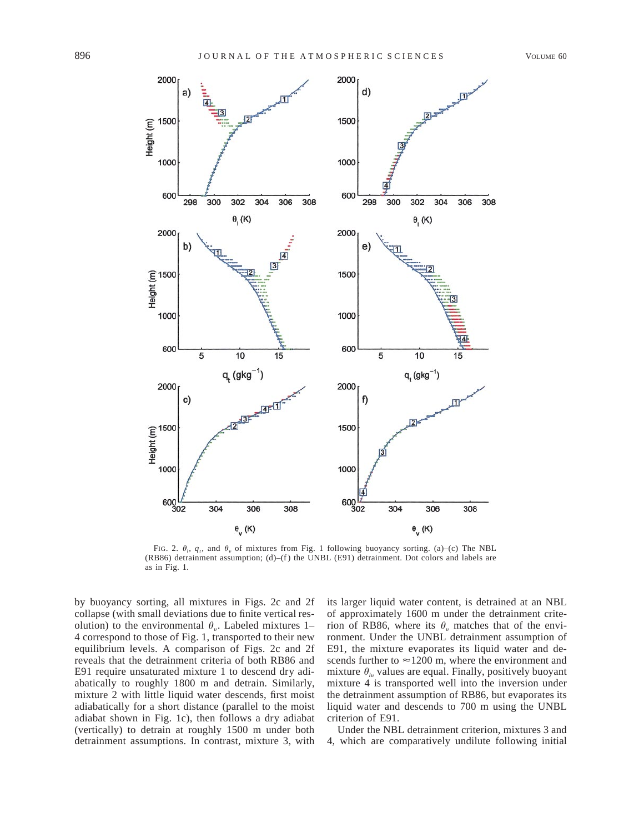

FIG. 2.  $\theta_i$ ,  $q_i$ , and  $\theta_v$  of mixtures from Fig. 1 following buoyancy sorting. (a)–(c) The NBL (RB86) detrainment assumption; (d)–(f) the UNBL (E91) detrainment. Dot colors and labels are as in Fig. 1.

by buoyancy sorting, all mixtures in Figs. 2c and 2f collapse (with small deviations due to finite vertical resolution) to the environmental  $\theta_{\nu}$ . Labeled mixtures 1– 4 correspond to those of Fig. 1, transported to their new equilibrium levels. A comparison of Figs. 2c and 2f reveals that the detrainment criteria of both RB86 and E91 require unsaturated mixture 1 to descend dry adiabatically to roughly 1800 m and detrain. Similarly, mixture 2 with little liquid water descends, first moist adiabatically for a short distance (parallel to the moist adiabat shown in Fig. 1c), then follows a dry adiabat (vertically) to detrain at roughly 1500 m under both detrainment assumptions. In contrast, mixture 3, with its larger liquid water content, is detrained at an NBL of approximately 1600 m under the detrainment criterion of RB86, where its  $\theta_{\nu}$  matches that of the environment. Under the UNBL detrainment assumption of E91, the mixture evaporates its liquid water and descends further to  $\approx$ 1200 m, where the environment and mixture  $\theta_{\nu}$  values are equal. Finally, positively buoyant mixture 4 is transported well into the inversion under the detrainment assumption of RB86, but evaporates its liquid water and descends to 700 m using the UNBL criterion of E91.

Under the NBL detrainment criterion, mixtures 3 and 4, which are comparatively undilute following initial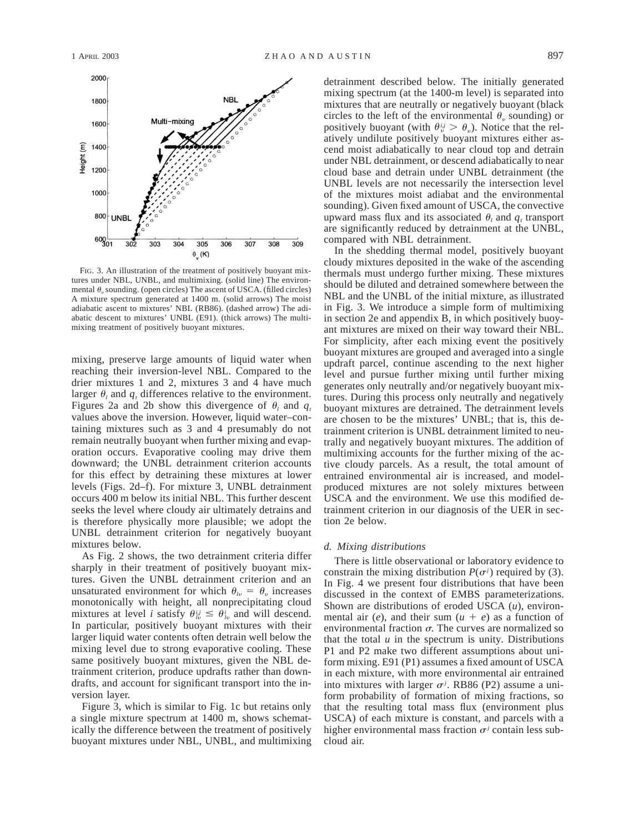

FIG. 3. An illustration of the treatment of positively buoyant mixtures under NBL, UNBL, and multimixing. (solid line) The environmental  $\theta_{\nu}$  sounding. (open circles) The ascent of USCA. (filled circles) A mixture spectrum generated at 1400 m. (solid arrows) The moist adiabatic ascent to mixtures' NBL (RB86). (dashed arrow) The adiabatic descent to mixtures' UNBL (E91). (thick arrows) The multimixing treatment of positively buoyant mixtures.

mixing, preserve large amounts of liquid water when reaching their inversion-level NBL. Compared to the drier mixtures 1 and 2, mixtures 3 and 4 have much larger  $\theta_l$  and  $q_t$  differences relative to the environment. Figures 2a and 2b show this divergence of  $\theta$ , and  $q_t$ values above the inversion. However, liquid water–containing mixtures such as 3 and 4 presumably do not remain neutrally buoyant when further mixing and evaporation occurs. Evaporative cooling may drive them downward; the UNBL detrainment criterion accounts for this effect by detraining these mixtures at lower levels (Figs. 2d–f). For mixture 3, UNBL detrainment occurs 400 m below its initial NBL. This further descent seeks the level where cloudy air ultimately detrains and is therefore physically more plausible; we adopt the UNBL detrainment criterion for negatively buoyant mixtures below.

As Fig. 2 shows, the two detrainment criteria differ sharply in their treatment of positively buoyant mixtures. Given the UNBL detrainment criterion and an unsaturated environment for which  $\theta_{i} = \theta_{i}$  increases monotonically with height, all nonprecipitating cloud mixtures at level *i* satisfy  $\theta_{i}^{i,j} \leq \theta_{i}^{i}$  and will descend. In particular, positively buoyant mixtures with their larger liquid water contents often detrain well below the mixing level due to strong evaporative cooling. These same positively buoyant mixtures, given the NBL detrainment criterion, produce updrafts rather than downdrafts, and account for significant transport into the inversion layer.

Figure 3, which is similar to Fig. 1c but retains only a single mixture spectrum at 1400 m, shows schematically the difference between the treatment of positively buoyant mixtures under NBL, UNBL, and multimixing detrainment described below. The initially generated mixing spectrum (at the 1400-m level) is separated into mixtures that are neutrally or negatively buoyant (black circles to the left of the environmental  $\theta$ , sounding) or positively buoyant (with  $\theta_v^{i,j} > \theta_v$ ). Notice that the relatively undilute positively buoyant mixtures either ascend moist adiabatically to near cloud top and detrain under NBL detrainment, or descend adiabatically to near cloud base and detrain under UNBL detrainment (the UNBL levels are not necessarily the intersection level of the mixtures moist adiabat and the environmental sounding). Given fixed amount of USCA, the convective upward mass flux and its associated  $\theta_i$  and  $q_t$  transport are significantly reduced by detrainment at the UNBL, compared with NBL detrainment.

In the shedding thermal model, positively buoyant cloudy mixtures deposited in the wake of the ascending thermals must undergo further mixing. These mixtures should be diluted and detrained somewhere between the NBL and the UNBL of the initial mixture, as illustrated in Fig. 3. We introduce a simple form of multimixing in section 2e and appendix B, in which positively buoyant mixtures are mixed on their way toward their NBL. For simplicity, after each mixing event the positively buoyant mixtures are grouped and averaged into a single updraft parcel, continue ascending to the next higher level and pursue further mixing until further mixing generates only neutrally and/or negatively buoyant mixtures. During this process only neutrally and negatively buoyant mixtures are detrained. The detrainment levels are chosen to be the mixtures' UNBL; that is, this detrainment criterion is UNBL detrainment limited to neutrally and negatively buoyant mixtures. The addition of multimixing accounts for the further mixing of the active cloudy parcels. As a result, the total amount of entrained environmental air is increased, and modelproduced mixtures are not solely mixtures between USCA and the environment. We use this modified detrainment criterion in our diagnosis of the UER in section 2e below.

#### *d. Mixing distributions*

There is little observational or laboratory evidence to constrain the mixing distribution  $P(\sigma^j)$  required by (3). In Fig. 4 we present four distributions that have been discussed in the context of EMBS parameterizations. Shown are distributions of eroded USCA (*u*), environmental air (*e*), and their sum  $(u + e)$  as a function of environmental fraction  $\sigma$ . The curves are normalized so that the total  $u$  in the spectrum is unity. Distributions P1 and P2 make two different assumptions about uniform mixing. E91 (P1) assumes a fixed amount of USCA in each mixture, with more environmental air entrained into mixtures with larger  $\sigma^j$ . RB86 (P2) assume a uniform probability of formation of mixing fractions, so that the resulting total mass flux (environment plus USCA) of each mixture is constant, and parcels with a higher environmental mass fraction  $\sigma$ <sup>*j*</sup> contain less subcloud air.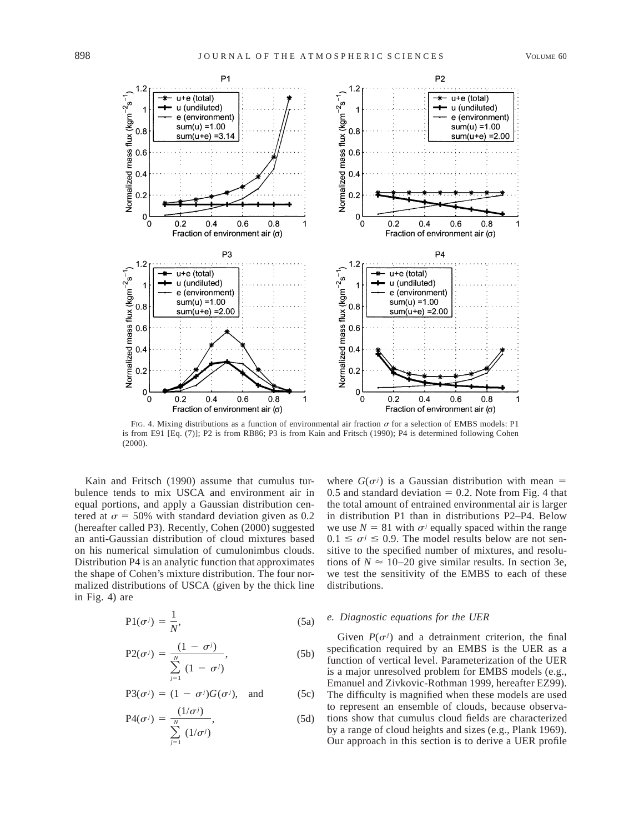

FIG. 4. Mixing distributions as a function of environmental air fraction  $\sigma$  for a selection of EMBS models: P1 is from E91 [Eq. (7)]; P2 is from RB86; P3 is from Kain and Fritsch (1990); P4 is determined following Cohen (2000).

Kain and Fritsch (1990) assume that cumulus turbulence tends to mix USCA and environment air in equal portions, and apply a Gaussian distribution centered at  $\sigma = 50\%$  with standard deviation given as 0.2 (hereafter called P3). Recently, Cohen (2000) suggested an anti-Gaussian distribution of cloud mixtures based on his numerical simulation of cumulonimbus clouds. Distribution P4 is an analytic function that approximates the shape of Cohen's mixture distribution. The four normalized distributions of USCA (given by the thick line in Fig. 4) are

$$
P1(\sigma^j) = \frac{1}{N'},\tag{5a}
$$

$$
P2(\sigma^j) = \frac{(1 - \sigma^j)}{\sum_{j=1}^N (1 - \sigma^j)},
$$
\n(5b)

$$
P3(\sigma^{j}) = (1 - \sigma^{j})G(\sigma^{j}), \text{ and } (5c)
$$

$$
P4(\sigma^j) = \frac{(1/\sigma^j)}{\sum_{j=1}^N (1/\sigma^j)},
$$
\n(5d)

where  $G(\sigma^j)$  is a Gaussian distribution with mean = 0.5 and standard deviation  $= 0.2$ . Note from Fig. 4 that the total amount of entrained environmental air is larger in distribution P1 than in distributions P2–P4. Below we use  $N = 81$  with  $\sigma$ <sup>*j*</sup> equally spaced within the range  $0.1 \leq \sigma^j \leq 0.9$ . The model results below are not sensitive to the specified number of mixtures, and resolutions of  $N \approx 10-20$  give similar results. In section 3e, we test the sensitivity of the EMBS to each of these distributions.

### *e. Diagnostic equations for the UER*

Given  $P(\sigma^j)$  and a detrainment criterion, the final specification required by an EMBS is the UER as a function of vertical level. Parameterization of the UER is a major unresolved problem for EMBS models (e.g., Emanuel and Zivkovic-Rothman 1999, hereafter EZ99). The difficulty is magnified when these models are used to represent an ensemble of clouds, because observations show that cumulus cloud fields are characterized by a range of cloud heights and sizes (e.g., Plank 1969). Our approach in this section is to derive a UER profile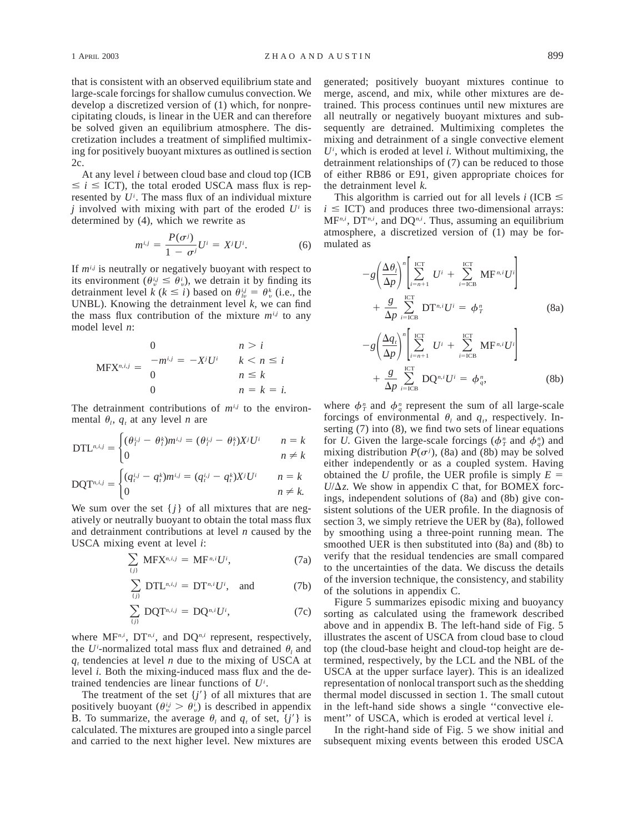that is consistent with an observed equilibrium state and large-scale forcings for shallow cumulus convection. We develop a discretized version of (1) which, for nonprecipitating clouds, is linear in the UER and can therefore be solved given an equilibrium atmosphere. The discretization includes a treatment of simplified multimixing for positively buoyant mixtures as outlined is section 2c.

At any level *i* between cloud base and cloud top (ICB  $\leq i \leq$  ICT), the total eroded USCA mass flux is represented by *Ui* . The mass flux of an individual mixture *j* involved with mixing with part of the eroded *Ui* is determined by (4), which we rewrite as

$$
m^{i,j} = \frac{P(\sigma^j)}{1 - \sigma^j} U^i = X^j U^i.
$$
 (6)

If  $m^{i,j}$  is neutrally or negatively buoyant with respect to its environment ( $\theta_{v}^{i,j} \leq \theta_{v}^{i}$ ), we detrain it by finding its detrainment level *k* ( $k \le i$ ) based on  $\theta_{i\nu}^{i,j} = \theta_{i\nu}^{k}$  (i.e., the UNBL). Knowing the detrainment level *k,* we can find the mass flux contribution of the mixture  $m^{i,j}$  to any model level *n*:

$$
\text{MFX}^{n,i,j} = \begin{cases} 0 & n > i \\ -m^{i,j} = -X^j U^i & k < n \le i \\ 0 & n \le k \\ 0 & n = k = i. \end{cases}
$$

The detrainment contributions of  $m^{i,j}$  to the environmental  $\theta_i$ ,  $q_t$  at any level *n* are

$$
DTL^{n,i,j} = \begin{cases} (\theta_i^{i,j} - \theta_i^k)m^{i,j} = (\theta_i^{i,j} - \theta_i^k)X^jU^i & n = k\\ 0 & n \neq k \end{cases}
$$

$$
\text{DQT}^{n,i,j} = \begin{cases} (q_i^{i,j} - q_i^k)m^{i,j} = (q_i^{i,j} - q_i^k)X^jU^i & n = k\\ 0 & n \neq k. \end{cases}
$$

We sum over the set  $\{j\}$  of all mixtures that are negatively or neutrally buoyant to obtain the total mass flux and detrainment contributions at level *n* caused by the USCA mixing event at level *i*:

$$
\sum_{(j)} \text{MFX}^{n,i,j} = \text{MF}^{n,i} U^i,
$$
 (7a)

$$
\sum_{(j)} DTL^{n,i,j} = DT^{n,i}U^i, \text{ and } (7b)
$$

$$
\sum_{(j)} \text{DQT}^{n,i,j} = \text{DQ}^{n,i} U^i, \tag{7c}
$$

where MF<sup>*n,i*</sup>, DT<sup>*n,i*</sup>, and DQ<sup>*n,i*</sup> represent, respectively, the *U<sup>i</sup>*-normalized total mass flux and detrained  $\theta_l$  and  $q_t$  tendencies at level *n* due to the mixing of USCA at level *i.* Both the mixing-induced mass flux and the detrained tendencies are linear functions of *Ui* .

The treatment of the set  ${j'}$  of all mixtures that are positively buoyant  $(\theta_{ij}^{i,j} > \theta_{ij}^{i})$  is described in appendix B. To summarize, the average  $\theta_i$  and  $q_i$  of set,  $\{j'\}$  is calculated. The mixtures are grouped into a single parcel and carried to the next higher level. New mixtures are

generated; positively buoyant mixtures continue to merge, ascend, and mix, while other mixtures are detrained. This process continues until new mixtures are all neutrally or negatively buoyant mixtures and subsequently are detrained. Multimixing completes the mixing and detrainment of a single convective element  $U^i$ , which is eroded at level *i*. Without multimixing, the detrainment relationships of (7) can be reduced to those of either RB86 or E91, given appropriate choices for the detrainment level *k.*

This algorithm is carried out for all levels *i* (ICB  $\leq$  $i \leq ICT$ ) and produces three two-dimensional arrays:  $MF^{n,i}$ ,  $DT^{n,i}$ , and  $DO^{n,i}$ . Thus, assuming an equilibrium atmosphere, a discretized version of (1) may be formulated as

$$
-g\left(\frac{\Delta\theta_{l}}{\Delta p}\right)^{n}\left[\sum_{i=n+1}^{iCT} U^{i} + \sum_{i=iCB}^{iCT} \mathrm{MF}^{n_{i}} U^{i}\right] + \frac{g}{\Delta p} \sum_{i=iCB}^{iCT} \mathrm{DT}^{n_{i}} U^{i} = \phi_{T}^{n}
$$
\n
$$
-g\left(\frac{\Delta q_{l}}{\Delta p}\right)^{n}\left[\sum_{i=n+1}^{iCT} U^{i} + \sum_{i=iCB}^{iCT} \mathrm{MF}^{n_{i}} U^{i}\right] + \frac{g}{\Delta p} \sum_{i=iCB}^{iCT} \mathrm{DQ}^{n_{i}} U^{i} = \phi_{q}^{n}, \tag{8b}
$$

where  $\phi_T^n$  and  $\phi_q^n$  represent the sum of all large-scale forcings of environmental  $\theta_l$  and  $q_t$ , respectively. Inserting (7) into (8), we find two sets of linear equations for *U*. Given the large-scale forcings  $(\phi^n)$  and  $(\phi^n)$  and mixing distribution  $P(\sigma^j)$ , (8a) and (8b) may be solved either independently or as a coupled system. Having obtained the *U* profile, the UER profile is simply  $E =$  $U/\Delta z$ . We show in appendix C that, for BOMEX forcings, independent solutions of (8a) and (8b) give consistent solutions of the UER profile. In the diagnosis of section 3, we simply retrieve the UER by (8a), followed by smoothing using a three-point running mean. The smoothed UER is then substituted into (8a) and (8b) to verify that the residual tendencies are small compared to the uncertainties of the data. We discuss the details of the inversion technique, the consistency, and stability of the solutions in appendix C.

Figure 5 summarizes episodic mixing and buoyancy sorting as calculated using the framework described above and in appendix B. The left-hand side of Fig. 5 illustrates the ascent of USCA from cloud base to cloud top (the cloud-base height and cloud-top height are determined, respectively, by the LCL and the NBL of the USCA at the upper surface layer). This is an idealized representation of nonlocal transport such as the shedding thermal model discussed in section 1. The small cutout in the left-hand side shows a single ''convective element'' of USCA, which is eroded at vertical level *i.*

In the right-hand side of Fig. 5 we show initial and subsequent mixing events between this eroded USCA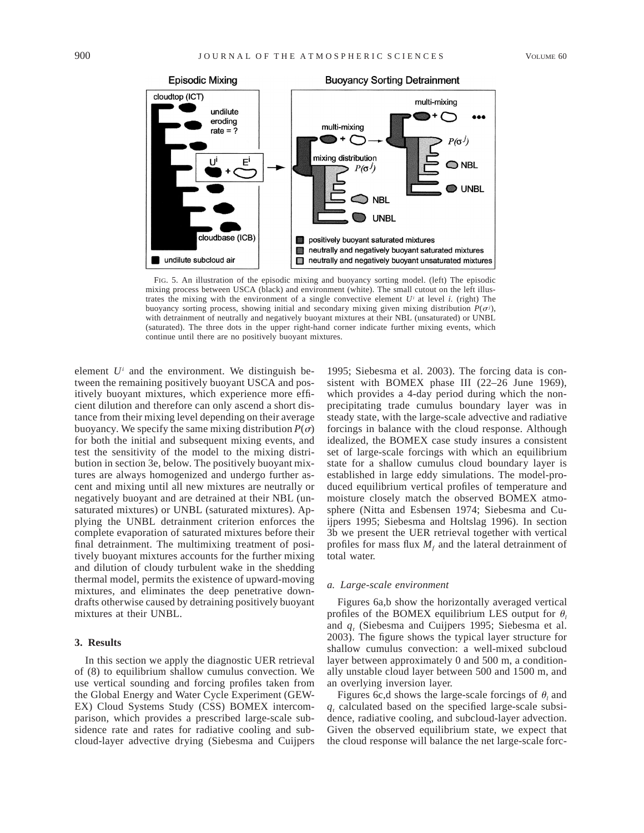

FIG. 5. An illustration of the episodic mixing and buoyancy sorting model. (left) The episodic mixing process between USCA (black) and environment (white). The small cutout on the left illustrates the mixing with the environment of a single convective element *Ui* at level *i.* (right) The buoyancy sorting process, showing initial and secondary mixing given mixing distribution  $P(\sigma^j)$ , with detrainment of neutrally and negatively buoyant mixtures at their NBL (unsaturated) or UNBL (saturated). The three dots in the upper right-hand corner indicate further mixing events, which continue until there are no positively buoyant mixtures.

element  $U^i$  and the environment. We distinguish between the remaining positively buoyant USCA and positively buoyant mixtures, which experience more efficient dilution and therefore can only ascend a short distance from their mixing level depending on their average buoyancy. We specify the same mixing distribution  $P(\sigma)$ for both the initial and subsequent mixing events, and test the sensitivity of the model to the mixing distribution in section 3e, below. The positively buoyant mixtures are always homogenized and undergo further ascent and mixing until all new mixtures are neutrally or negatively buoyant and are detrained at their NBL (unsaturated mixtures) or UNBL (saturated mixtures). Applying the UNBL detrainment criterion enforces the complete evaporation of saturated mixtures before their final detrainment. The multimixing treatment of positively buoyant mixtures accounts for the further mixing and dilution of cloudy turbulent wake in the shedding thermal model, permits the existence of upward-moving mixtures, and eliminates the deep penetrative downdrafts otherwise caused by detraining positively buoyant mixtures at their UNBL.

### **3. Results**

In this section we apply the diagnostic UER retrieval of (8) to equilibrium shallow cumulus convection. We use vertical sounding and forcing profiles taken from the Global Energy and Water Cycle Experiment (GEW-EX) Cloud Systems Study (CSS) BOMEX intercomparison, which provides a prescribed large-scale subsidence rate and rates for radiative cooling and subcloud-layer advective drying (Siebesma and Cuijpers

1995; Siebesma et al. 2003). The forcing data is consistent with BOMEX phase III (22–26 June 1969), which provides a 4-day period during which the nonprecipitating trade cumulus boundary layer was in steady state, with the large-scale advective and radiative forcings in balance with the cloud response. Although idealized, the BOMEX case study insures a consistent set of large-scale forcings with which an equilibrium state for a shallow cumulus cloud boundary layer is established in large eddy simulations. The model-produced equilibrium vertical profiles of temperature and moisture closely match the observed BOMEX atmosphere (Nitta and Esbensen 1974; Siebesma and Cuijpers 1995; Siebesma and Holtslag 1996). In section 3b we present the UER retrieval together with vertical profiles for mass flux  $M_f$  and the lateral detrainment of total water.

#### *a. Large-scale environment*

Figures 6a,b show the horizontally averaged vertical profiles of the BOMEX equilibrium LES output for  $\theta_i$ and *qt* (Siebesma and Cuijpers 1995; Siebesma et al. 2003). The figure shows the typical layer structure for shallow cumulus convection: a well-mixed subcloud layer between approximately 0 and 500 m, a conditionally unstable cloud layer between 500 and 1500 m, and an overlying inversion layer.

Figures 6c,d shows the large-scale forcings of  $\theta$  and  $q_t$  calculated based on the specified large-scale subsidence, radiative cooling, and subcloud-layer advection. Given the observed equilibrium state, we expect that the cloud response will balance the net large-scale forc-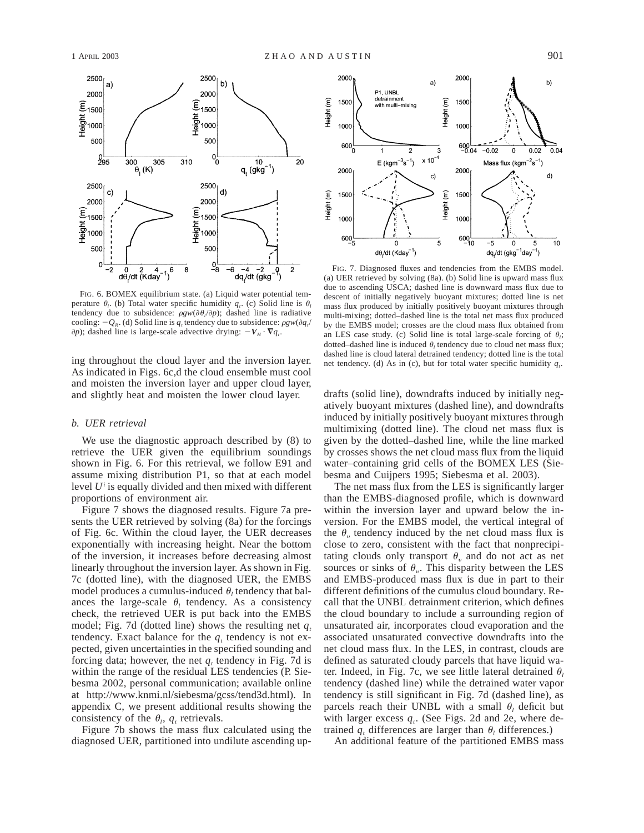

FIG. 6. BOMEX equilibrium state. (a) Liquid water potential temperature  $\theta_i$ . (b) Total water specific humidity  $q_i$ . (c) Solid line is  $\theta_i$ tendency due to subsidence:  $\rho g w(\partial \theta_l/\partial p)$ ; dashed line is radiative cooling:  $-Q_R$ . (d) Solid line is  $q_t$  tendency due to subsidence:  $pgw(\partial q_t)$  $\partial p$ ); dashed line is large-scale advective drying:  $-V_H \cdot \nabla q_t$ .

As indicated in Figs. 6c,d the cloud ensemble must cool and moisten the inversion layer and upper cloud layer, and slightly heat and moisten the lower cloud layer.

## *b. UER retrieval*

We use the diagnostic approach described by (8) to retrieve the UER given the equilibrium soundings shown in Fig. 6. For this retrieval, we follow E91 and assume mixing distribution P1, so that at each model level *Ui* is equally divided and then mixed with different proportions of environment air.

Figure 7 shows the diagnosed results. Figure 7a presents the UER retrieved by solving (8a) for the forcings of Fig. 6c. Within the cloud layer, the UER decreases exponentially with increasing height. Near the bottom of the inversion, it increases before decreasing almost linearly throughout the inversion layer. As shown in Fig. 7c (dotted line), with the diagnosed UER, the EMBS model produces a cumulus-induced  $\theta$  tendency that balances the large-scale  $\theta_l$  tendency. As a consistency check, the retrieved UER is put back into the EMBS model; Fig. 7d (dotted line) shows the resulting net  $q_t$ tendency. Exact balance for the  $q_t$  tendency is not expected, given uncertainties in the specified sounding and forcing data; however, the net  $q_t$  tendency in Fig. 7d is within the range of the residual LES tendencies (P. Siebesma 2002, personal communication; available online at http://www.knmi.nl/siebesma/gcss/tend3d.html). In appendix C, we present additional results showing the consistency of the  $\theta_i$ ,  $q_t$  retrievals.

Figure 7b shows the mass flux calculated using the diagnosed UER, partitioned into undilute ascending up-



FIG. 7. Diagnosed fluxes and tendencies from the EMBS model. (a) UER retrieved by solving (8a). (b) Solid line is upward mass flux due to ascending USCA; dashed line is downward mass flux due to descent of initially negatively buoyant mixtures; dotted line is net mass flux produced by initially positively buoyant mixtures through multi-mixing; dotted–dashed line is the total net mass flux produced by the EMBS model; crosses are the cloud mass flux obtained from an LES case study. (c) Solid line is total large-scale forcing of  $\theta_i$ ; dotted–dashed line is induced  $\theta$ , tendency due to cloud net mass flux; dashed line is cloud lateral detrained tendency; dotted line is the total ing throughout the cloud layer and the inversion layer.  $\frac{1}{\pi}$  is the cloud latter specific humidity  $q_t$ .

drafts (solid line), downdrafts induced by initially negatively buoyant mixtures (dashed line), and downdrafts induced by initially positively buoyant mixtures through multimixing (dotted line). The cloud net mass flux is given by the dotted–dashed line, while the line marked by crosses shows the net cloud mass flux from the liquid water–containing grid cells of the BOMEX LES (Siebesma and Cuijpers 1995; Siebesma et al. 2003).

The net mass flux from the LES is significantly larger than the EMBS-diagnosed profile, which is downward within the inversion layer and upward below the inversion. For the EMBS model, the vertical integral of the  $\theta_{\nu}$  tendency induced by the net cloud mass flux is close to zero, consistent with the fact that nonprecipitating clouds only transport  $\theta$ <sub>n</sub> and do not act as net sources or sinks of  $\theta_{\nu}$ . This disparity between the LES and EMBS-produced mass flux is due in part to their different definitions of the cumulus cloud boundary. Recall that the UNBL detrainment criterion, which defines the cloud boundary to include a surrounding region of unsaturated air, incorporates cloud evaporation and the associated unsaturated convective downdrafts into the net cloud mass flux. In the LES, in contrast, clouds are defined as saturated cloudy parcels that have liquid water. Indeed, in Fig. 7c, we see little lateral detrained  $\theta_l$ tendency (dashed line) while the detrained water vapor tendency is still significant in Fig. 7d (dashed line), as parcels reach their UNBL with a small  $\theta_i$  deficit but with larger excess  $q_t$ . (See Figs. 2d and 2e, where detrained  $q_t$  differences are larger than  $\theta_t$  differences.)

An additional feature of the partitioned EMBS mass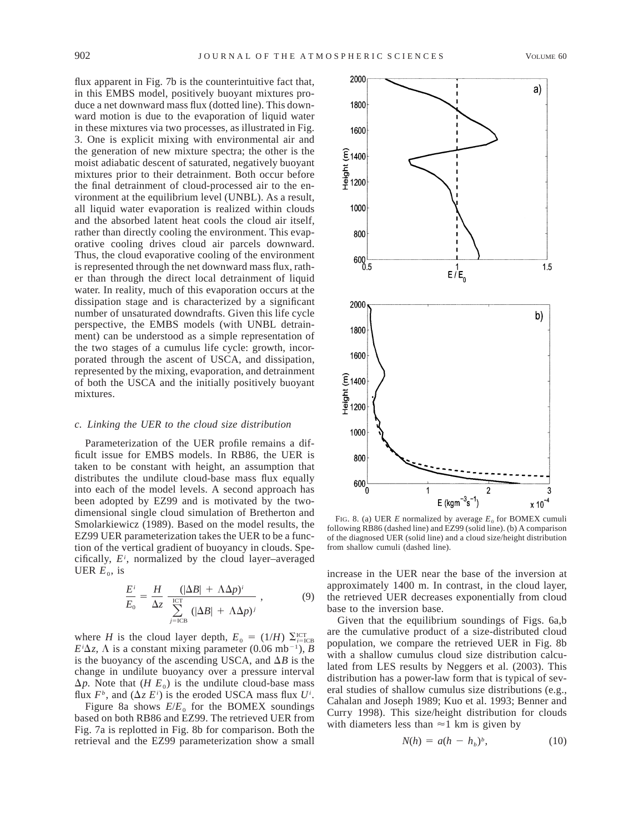flux apparent in Fig. 7b is the counterintuitive fact that, in this EMBS model, positively buoyant mixtures produce a net downward mass flux (dotted line). This downward motion is due to the evaporation of liquid water in these mixtures via two processes, as illustrated in Fig. 3. One is explicit mixing with environmental air and the generation of new mixture spectra; the other is the moist adiabatic descent of saturated, negatively buoyant mixtures prior to their detrainment. Both occur before the final detrainment of cloud-processed air to the environment at the equilibrium level (UNBL). As a result, all liquid water evaporation is realized within clouds and the absorbed latent heat cools the cloud air itself, rather than directly cooling the environment. This evaporative cooling drives cloud air parcels downward. Thus, the cloud evaporative cooling of the environment is represented through the net downward mass flux, rather than through the direct local detrainment of liquid water. In reality, much of this evaporation occurs at the dissipation stage and is characterized by a significant number of unsaturated downdrafts. Given this life cycle perspective, the EMBS models (with UNBL detrainment) can be understood as a simple representation of the two stages of a cumulus life cycle: growth, incorporated through the ascent of USCA, and dissipation, represented by the mixing, evaporation, and detrainment of both the USCA and the initially positively buoyant mixtures.

#### *c. Linking the UER to the cloud size distribution*

Parameterization of the UER profile remains a difficult issue for EMBS models. In RB86, the UER is taken to be constant with height, an assumption that distributes the undilute cloud-base mass flux equally into each of the model levels. A second approach has been adopted by EZ99 and is motivated by the twodimensional single cloud simulation of Bretherton and Smolarkiewicz (1989). Based on the model results, the EZ99 UER parameterization takes the UER to be a function of the vertical gradient of buoyancy in clouds. Specifically, *Ei* , normalized by the cloud layer–averaged UER  $E_0$ , is

$$
\frac{E^i}{E_0} = \frac{H}{\Delta z} \left( \frac{(|\Delta B| + \Lambda \Delta p)^i}{\sum_{j=\text{ICB}}^{\text{ICT}} (|\Delta B| + \Lambda \Delta p)^j} \right),\tag{9}
$$

where *H* is the cloud layer depth,  $E_0 = (1/H) \sum_{i=1}^{1} C_i^T$  $E^i\Delta z$ ,  $\Lambda$  is a constant mixing parameter (0.06 mb<sup>-1</sup>), *B* is the buoyancy of the ascending USCA, and  $\Delta B$  is the change in undilute buoyancy over a pressure interval  $\Delta p$ . Note that (*H E<sub>0</sub>*) is the undilute cloud-base mass flux  $F^b$ , and  $(\Delta z E^i)$  is the eroded USCA mass flux  $U^i$ .

Figure 8a shows  $E/E_0$  for the BOMEX soundings based on both RB86 and EZ99. The retrieved UER from Fig. 7a is replotted in Fig. 8b for comparison. Both the retrieval and the EZ99 parameterization show a small



FIG. 8. (a) UER *E* normalized by average  $E_0$  for BOMEX cumuli following RB86 (dashed line) and EZ99 (solid line). (b) A comparison of the diagnosed UER (solid line) and a cloud size/height distribution from shallow cumuli (dashed line).

increase in the UER near the base of the inversion at approximately 1400 m. In contrast, in the cloud layer, the retrieved UER decreases exponentially from cloud base to the inversion base.

Given that the equilibrium soundings of Figs. 6a,b are the cumulative product of a size-distributed cloud population, we compare the retrieved UER in Fig. 8b with a shallow cumulus cloud size distribution calculated from LES results by Neggers et al. (2003). This distribution has a power-law form that is typical of several studies of shallow cumulus size distributions (e.g., Cahalan and Joseph 1989; Kuo et al. 1993; Benner and Curry 1998). This size/height distribution for clouds with diameters less than  $\approx$ 1 km is given by

$$
N(h) = a(h - h_b)^b, \qquad (10)
$$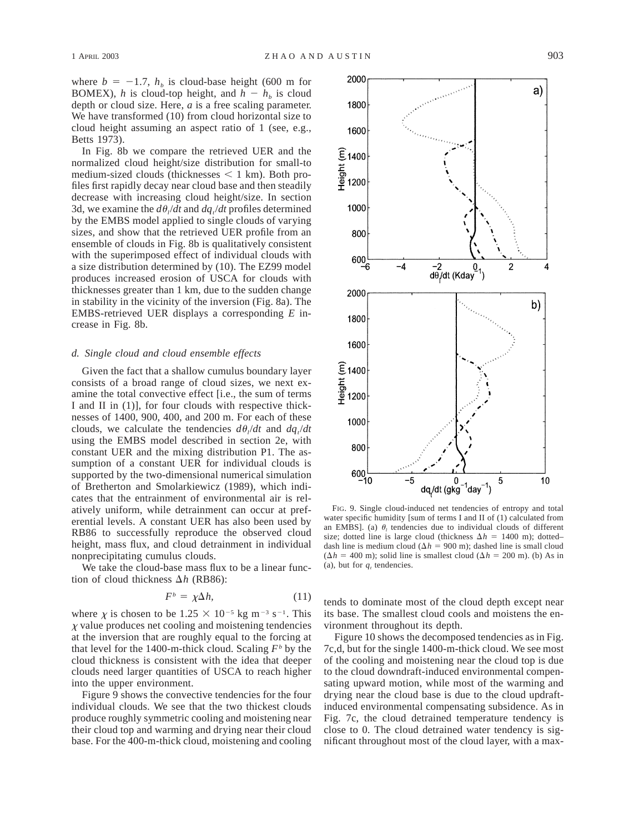where  $b = -1.7$ ,  $h<sub>b</sub>$  is cloud-base height (600 m for BOMEX), *h* is cloud-top height, and  $h - h_b$  is cloud depth or cloud size. Here, *a* is a free scaling parameter. We have transformed (10) from cloud horizontal size to cloud height assuming an aspect ratio of 1 (see, e.g., Betts 1973).

In Fig. 8b we compare the retrieved UER and the normalized cloud height/size distribution for small-to medium-sized clouds (thicknesses  $\leq 1$  km). Both profiles first rapidly decay near cloud base and then steadily decrease with increasing cloud height/size. In section 3d, we examine the  $d\theta_l/dt$  and  $dq_l/dt$  profiles determined by the EMBS model applied to single clouds of varying sizes, and show that the retrieved UER profile from an ensemble of clouds in Fig. 8b is qualitatively consistent with the superimposed effect of individual clouds with a size distribution determined by (10). The EZ99 model produces increased erosion of USCA for clouds with thicknesses greater than 1 km, due to the sudden change in stability in the vicinity of the inversion (Fig. 8a). The EMBS-retrieved UER displays a corresponding *E* increase in Fig. 8b.

#### *d. Single cloud and cloud ensemble effects*

Given the fact that a shallow cumulus boundary layer consists of a broad range of cloud sizes, we next examine the total convective effect [i.e., the sum of terms I and II in (1)], for four clouds with respective thicknesses of 1400, 900, 400, and 200 m. For each of these clouds, we calculate the tendencies  $d\theta_l/dt$  and  $dq_l/dt$ using the EMBS model described in section 2e, with constant UER and the mixing distribution P1. The assumption of a constant UER for individual clouds is supported by the two-dimensional numerical simulation of Bretherton and Smolarkiewicz (1989), which indicates that the entrainment of environmental air is relatively uniform, while detrainment can occur at preferential levels. A constant UER has also been used by RB86 to successfully reproduce the observed cloud height, mass flux, and cloud detrainment in individual nonprecipitating cumulus clouds.

We take the cloud-base mass flux to be a linear function of cloud thickness  $\Delta h$  (RB86):

$$
F^b = \chi \Delta h, \tag{11}
$$

where  $\chi$  is chosen to be 1.25  $\times$  10<sup>-5</sup> kg m<sup>-3</sup> s<sup>-1</sup>. This  $\chi$  value produces net cooling and moistening tendencies at the inversion that are roughly equal to the forcing at that level for the 1400-m-thick cloud. Scaling  $F<sup>b</sup>$  by the cloud thickness is consistent with the idea that deeper clouds need larger quantities of USCA to reach higher into the upper environment.

Figure 9 shows the convective tendencies for the four individual clouds. We see that the two thickest clouds produce roughly symmetric cooling and moistening near their cloud top and warming and drying near their cloud base. For the 400-m-thick cloud, moistening and cooling



FIG. 9. Single cloud-induced net tendencies of entropy and total water specific humidity [sum of terms I and II of (1) calculated from an EMBS]. (a)  $\theta_l$  tendencies due to individual clouds of different size; dotted line is large cloud (thickness  $\Delta h = 1400$  m); dotted– dash line is medium cloud ( $\Delta h = 900$  m); dashed line is small cloud  $(\Delta h = 400 \text{ m})$ ; solid line is smallest cloud  $(\Delta h = 200 \text{ m})$ . (b) As in (a), but for  $q_t$  tendencies.

tends to dominate most of the cloud depth except near its base. The smallest cloud cools and moistens the environment throughout its depth.

Figure 10 shows the decomposed tendencies as in Fig. 7c,d, but for the single 1400-m-thick cloud. We see most of the cooling and moistening near the cloud top is due to the cloud downdraft-induced environmental compensating upward motion, while most of the warming and drying near the cloud base is due to the cloud updraftinduced environmental compensating subsidence. As in Fig. 7c, the cloud detrained temperature tendency is close to 0. The cloud detrained water tendency is significant throughout most of the cloud layer, with a max-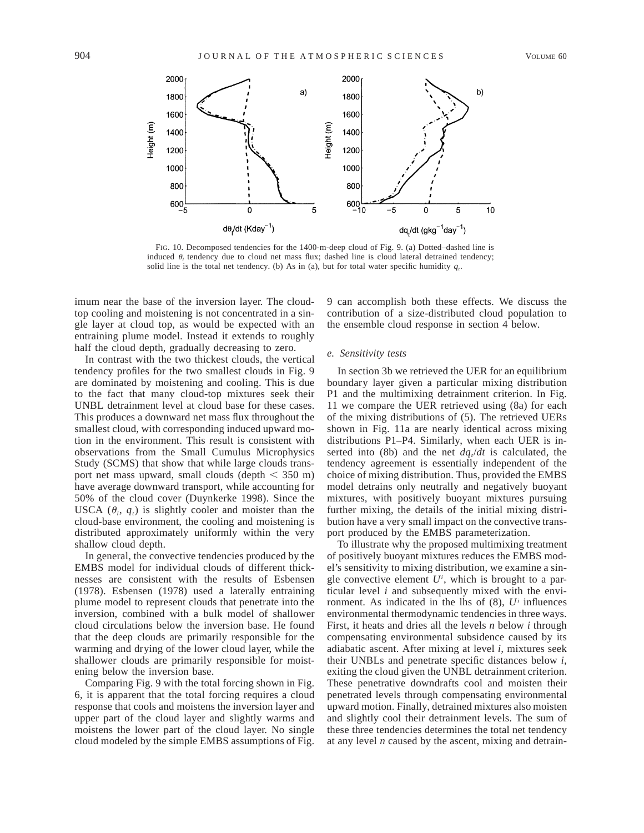

FIG. 10. Decomposed tendencies for the 1400-m-deep cloud of Fig. 9. (a) Dotted–dashed line is induced  $\theta$ <sub>l</sub> tendency due to cloud net mass flux; dashed line is cloud lateral detrained tendency; solid line is the total net tendency. (b) As in (a), but for total water specific humidity  $q_t$ .

imum near the base of the inversion layer. The cloudtop cooling and moistening is not concentrated in a single layer at cloud top, as would be expected with an entraining plume model. Instead it extends to roughly half the cloud depth, gradually decreasing to zero.

In contrast with the two thickest clouds, the vertical tendency profiles for the two smallest clouds in Fig. 9 are dominated by moistening and cooling. This is due to the fact that many cloud-top mixtures seek their UNBL detrainment level at cloud base for these cases. This produces a downward net mass flux throughout the smallest cloud, with corresponding induced upward motion in the environment. This result is consistent with observations from the Small Cumulus Microphysics Study (SCMS) that show that while large clouds transport net mass upward, small clouds (depth  $\leq$  350 m) have average downward transport, while accounting for 50% of the cloud cover (Duynkerke 1998). Since the USCA  $(\theta_i, q_i)$  is slightly cooler and moister than the cloud-base environment, the cooling and moistening is distributed approximately uniformly within the very shallow cloud depth.

In general, the convective tendencies produced by the EMBS model for individual clouds of different thicknesses are consistent with the results of Esbensen (1978). Esbensen (1978) used a laterally entraining plume model to represent clouds that penetrate into the inversion, combined with a bulk model of shallower cloud circulations below the inversion base. He found that the deep clouds are primarily responsible for the warming and drying of the lower cloud layer, while the shallower clouds are primarily responsible for moistening below the inversion base.

Comparing Fig. 9 with the total forcing shown in Fig. 6, it is apparent that the total forcing requires a cloud response that cools and moistens the inversion layer and upper part of the cloud layer and slightly warms and moistens the lower part of the cloud layer. No single cloud modeled by the simple EMBS assumptions of Fig.

9 can accomplish both these effects. We discuss the contribution of a size-distributed cloud population to the ensemble cloud response in section 4 below.

#### *e. Sensitivity tests*

In section 3b we retrieved the UER for an equilibrium boundary layer given a particular mixing distribution P1 and the multimixing detrainment criterion. In Fig. 11 we compare the UER retrieved using (8a) for each of the mixing distributions of (5). The retrieved UERs shown in Fig. 11a are nearly identical across mixing distributions P1–P4. Similarly, when each UER is inserted into (8b) and the net  $dq/dt$  is calculated, the tendency agreement is essentially independent of the choice of mixing distribution. Thus, provided the EMBS model detrains only neutrally and negatively buoyant mixtures, with positively buoyant mixtures pursuing further mixing, the details of the initial mixing distribution have a very small impact on the convective transport produced by the EMBS parameterization.

To illustrate why the proposed multimixing treatment of positively buoyant mixtures reduces the EMBS model's sensitivity to mixing distribution, we examine a single convective element *Ui* , which is brought to a particular level *i* and subsequently mixed with the environment. As indicated in the lhs of (8), *Ui* influences environmental thermodynamic tendencies in three ways. First, it heats and dries all the levels *n* below *i* through compensating environmental subsidence caused by its adiabatic ascent. After mixing at level *i,* mixtures seek their UNBLs and penetrate specific distances below *i,* exiting the cloud given the UNBL detrainment criterion. These penetrative downdrafts cool and moisten their penetrated levels through compensating environmental upward motion. Finally, detrained mixtures also moisten and slightly cool their detrainment levels. The sum of these three tendencies determines the total net tendency at any level *n* caused by the ascent, mixing and detrain-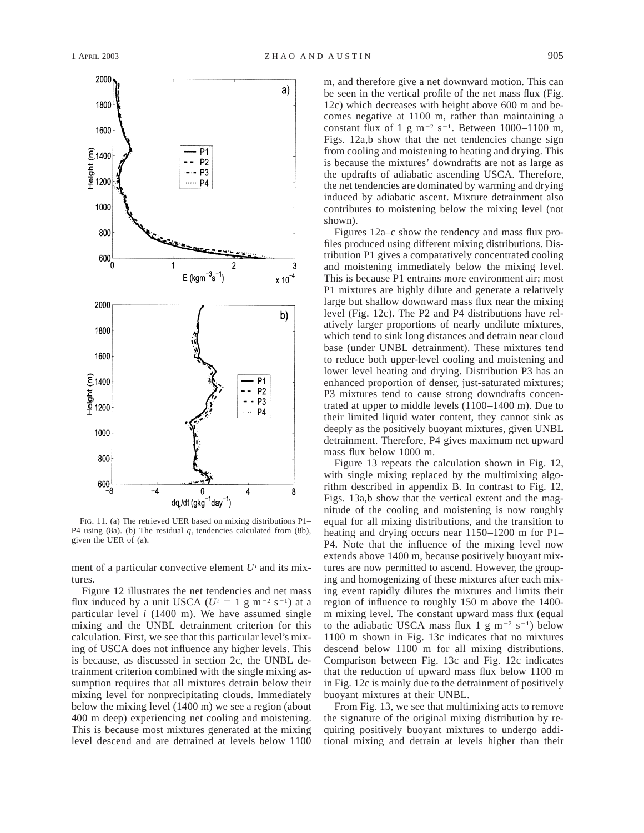

FIG. 11. (a) The retrieved UER based on mixing distributions P1– P4 using (8a). (b) The residual  $q_t$  tendencies calculated from (8b), given the UER of (a).

ment of a particular convective element *Ui* and its mixtures

Figure 12 illustrates the net tendencies and net mass flux induced by a unit USCA ( $U^i = 1$  g m<sup>-2</sup> s<sup>-1</sup>) at a particular level *i* (1400 m). We have assumed single mixing and the UNBL detrainment criterion for this calculation. First, we see that this particular level's mixing of USCA does not influence any higher levels. This is because, as discussed in section 2c, the UNBL detrainment criterion combined with the single mixing assumption requires that all mixtures detrain below their mixing level for nonprecipitating clouds. Immediately below the mixing level (1400 m) we see a region (about 400 m deep) experiencing net cooling and moistening. This is because most mixtures generated at the mixing level descend and are detrained at levels below 1100 m, and therefore give a net downward motion. This can be seen in the vertical profile of the net mass flux (Fig. 12c) which decreases with height above 600 m and becomes negative at 1100 m, rather than maintaining a constant flux of 1 g m<sup>-2</sup> s<sup>-1</sup>. Between 1000–1100 m, Figs. 12a,b show that the net tendencies change sign from cooling and moistening to heating and drying. This is because the mixtures' downdrafts are not as large as the updrafts of adiabatic ascending USCA. Therefore, the net tendencies are dominated by warming and drying induced by adiabatic ascent. Mixture detrainment also contributes to moistening below the mixing level (not shown).

Figures 12a–c show the tendency and mass flux profiles produced using different mixing distributions. Distribution P1 gives a comparatively concentrated cooling and moistening immediately below the mixing level. This is because P1 entrains more environment air; most P1 mixtures are highly dilute and generate a relatively large but shallow downward mass flux near the mixing level (Fig. 12c). The P2 and P4 distributions have relatively larger proportions of nearly undilute mixtures, which tend to sink long distances and detrain near cloud base (under UNBL detrainment). These mixtures tend to reduce both upper-level cooling and moistening and lower level heating and drying. Distribution P3 has an enhanced proportion of denser, just-saturated mixtures; P3 mixtures tend to cause strong downdrafts concentrated at upper to middle levels (1100–1400 m). Due to their limited liquid water content, they cannot sink as deeply as the positively buoyant mixtures, given UNBL detrainment. Therefore, P4 gives maximum net upward mass flux below 1000 m.

Figure 13 repeats the calculation shown in Fig. 12, with single mixing replaced by the multimixing algorithm described in appendix B. In contrast to Fig. 12, Figs. 13a,b show that the vertical extent and the magnitude of the cooling and moistening is now roughly equal for all mixing distributions, and the transition to heating and drying occurs near 1150–1200 m for P1– P4. Note that the influence of the mixing level now extends above 1400 m, because positively buoyant mixtures are now permitted to ascend. However, the grouping and homogenizing of these mixtures after each mixing event rapidly dilutes the mixtures and limits their region of influence to roughly 150 m above the 1400 m mixing level. The constant upward mass flux (equal to the adiabatic USCA mass flux 1  $g$  m<sup>-2</sup> s<sup>-1</sup>) below 1100 m shown in Fig. 13c indicates that no mixtures descend below 1100 m for all mixing distributions. Comparison between Fig. 13c and Fig. 12c indicates that the reduction of upward mass flux below 1100 m in Fig. 12c is mainly due to the detrainment of positively buoyant mixtures at their UNBL.

From Fig. 13, we see that multimixing acts to remove the signature of the original mixing distribution by requiring positively buoyant mixtures to undergo additional mixing and detrain at levels higher than their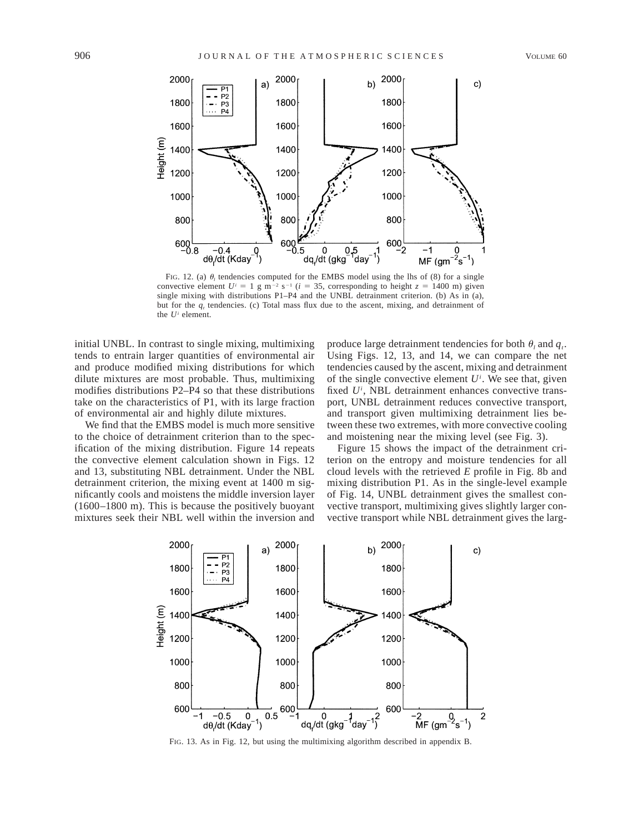

FIG. 12. (a)  $\theta$ <sub>*l*</sub> tendencies computed for the EMBS model using the lhs of (8) for a single convective element  $U^i = 1$  g m<sup>-2</sup> s<sup>-1</sup> ( $i = 35$ , corresponding to height  $z = 1400$  m) given single mixing with distributions P1–P4 and the UNBL detrainment criterion. (b) As in (a), but for the *q<sub>t</sub>* tendencies. (c) Total mass flux due to the ascent, mixing, and detrainment of the *Ui* element.

initial UNBL. In contrast to single mixing, multimixing tends to entrain larger quantities of environmental air and produce modified mixing distributions for which dilute mixtures are most probable. Thus, multimixing modifies distributions P2–P4 so that these distributions take on the characteristics of P1, with its large fraction of environmental air and highly dilute mixtures.

We find that the EMBS model is much more sensitive to the choice of detrainment criterion than to the specification of the mixing distribution. Figure 14 repeats the convective element calculation shown in Figs. 12 and 13, substituting NBL detrainment. Under the NBL detrainment criterion, the mixing event at 1400 m significantly cools and moistens the middle inversion layer (1600–1800 m). This is because the positively buoyant mixtures seek their NBL well within the inversion and

produce large detrainment tendencies for both  $\theta_i$  and  $q_i$ . Using Figs. 12, 13, and 14, we can compare the net tendencies caused by the ascent, mixing and detrainment of the single convective element  $U^i$ . We see that, given fixed U<sup>i</sup>, NBL detrainment enhances convective transport, UNBL detrainment reduces convective transport, and transport given multimixing detrainment lies between these two extremes, with more convective cooling and moistening near the mixing level (see Fig. 3).

Figure 15 shows the impact of the detrainment criterion on the entropy and moisture tendencies for all cloud levels with the retrieved *E* profile in Fig. 8b and mixing distribution P1. As in the single-level example of Fig. 14, UNBL detrainment gives the smallest convective transport, multimixing gives slightly larger convective transport while NBL detrainment gives the larg-



FIG. 13. As in Fig. 12, but using the multimixing algorithm described in appendix B.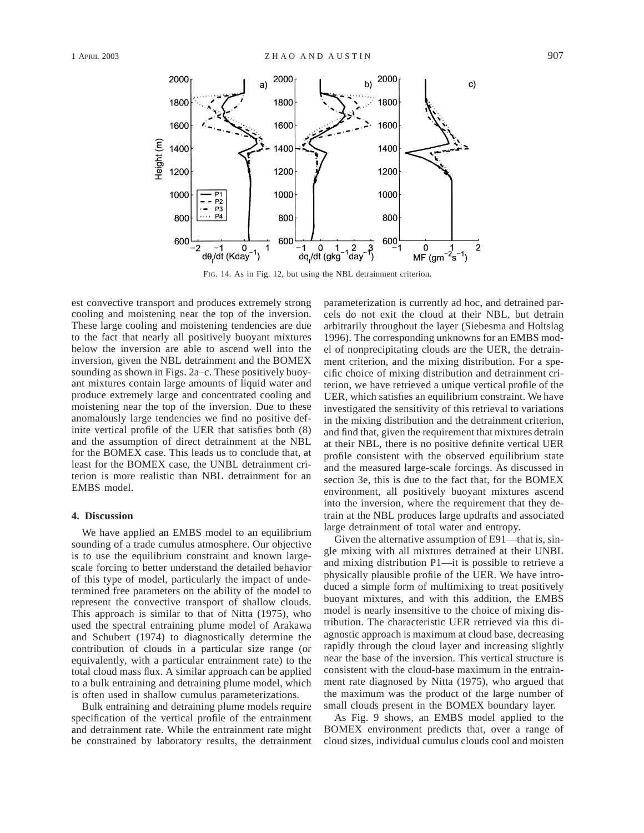

FIG. 14. As in Fig. 12, but using the NBL detrainment criterion.

est convective transport and produces extremely strong cooling and moistening near the top of the inversion. These large cooling and moistening tendencies are due to the fact that nearly all positively buoyant mixtures below the inversion are able to ascend well into the inversion, given the NBL detrainment and the BOMEX sounding as shown in Figs. 2a–c. These positively buoyant mixtures contain large amounts of liquid water and produce extremely large and concentrated cooling and moistening near the top of the inversion. Due to these anomalously large tendencies we find no positive definite vertical profile of the UER that satisfies both (8) and the assumption of direct detrainment at the NBL for the BOMEX case. This leads us to conclude that, at least for the BOMEX case, the UNBL detrainment criterion is more realistic than NBL detrainment for an EMBS model.

### **4. Discussion**

We have applied an EMBS model to an equilibrium sounding of a trade cumulus atmosphere. Our objective is to use the equilibrium constraint and known largescale forcing to better understand the detailed behavior of this type of model, particularly the impact of undetermined free parameters on the ability of the model to represent the convective transport of shallow clouds. This approach is similar to that of Nitta (1975), who used the spectral entraining plume model of Arakawa and Schubert (1974) to diagnostically determine the contribution of clouds in a particular size range (or equivalently, with a particular entrainment rate) to the total cloud mass flux. A similar approach can be applied to a bulk entraining and detraining plume model, which is often used in shallow cumulus parameterizations.

Bulk entraining and detraining plume models require specification of the vertical profile of the entrainment and detrainment rate. While the entrainment rate might be constrained by laboratory results, the detrainment parameterization is currently ad hoc, and detrained parcels do not exit the cloud at their NBL, but detrain arbitrarily throughout the layer (Siebesma and Holtslag 1996). The corresponding unknowns for an EMBS model of nonprecipitating clouds are the UER, the detrainment criterion, and the mixing distribution. For a specific choice of mixing distribution and detrainment criterion, we have retrieved a unique vertical profile of the UER, which satisfies an equilibrium constraint. We have investigated the sensitivity of this retrieval to variations in the mixing distribution and the detrainment criterion, and find that, given the requirement that mixtures detrain at their NBL, there is no positive definite vertical UER profile consistent with the observed equilibrium state and the measured large-scale forcings. As discussed in section 3e, this is due to the fact that, for the BOMEX environment, all positively buoyant mixtures ascend into the inversion, where the requirement that they detrain at the NBL produces large updrafts and associated large detrainment of total water and entropy.

Given the alternative assumption of E91—that is, single mixing with all mixtures detrained at their UNBL and mixing distribution P1—it is possible to retrieve a physically plausible profile of the UER. We have introduced a simple form of multimixing to treat positively buoyant mixtures, and with this addition, the EMBS model is nearly insensitive to the choice of mixing distribution. The characteristic UER retrieved via this diagnostic approach is maximum at cloud base, decreasing rapidly through the cloud layer and increasing slightly near the base of the inversion. This vertical structure is consistent with the cloud-base maximum in the entrainment rate diagnosed by Nitta (1975), who argued that the maximum was the product of the large number of small clouds present in the BOMEX boundary layer.

As Fig. 9 shows, an EMBS model applied to the BOMEX environment predicts that, over a range of cloud sizes, individual cumulus clouds cool and moisten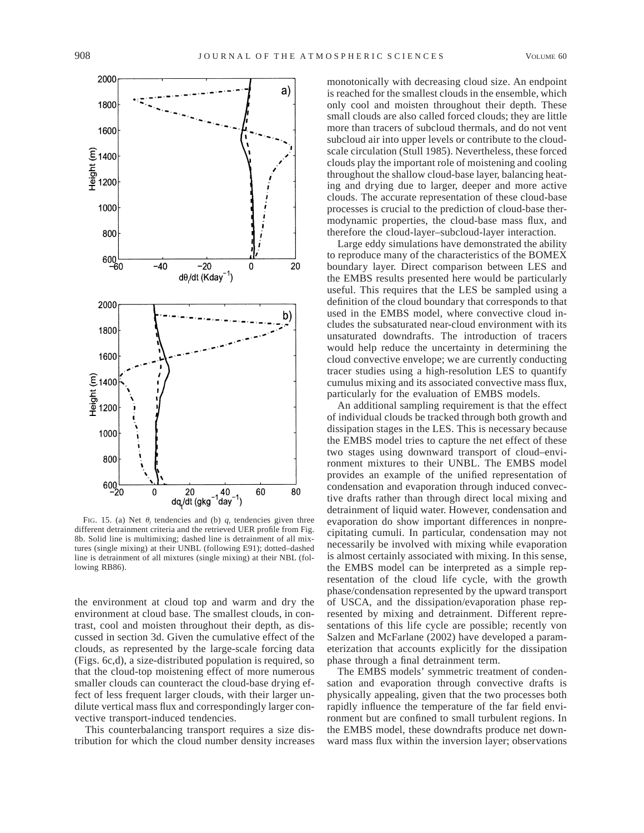

FIG. 15. (a) Net  $\theta_i$  tendencies and (b)  $q_i$  tendencies given three different detrainment criteria and the retrieved UER profile from Fig. 8b. Solid line is multimixing; dashed line is detrainment of all mixtures (single mixing) at their UNBL (following E91); dotted–dashed line is detrainment of all mixtures (single mixing) at their NBL (following RB86).

the environment at cloud top and warm and dry the environment at cloud base. The smallest clouds, in contrast, cool and moisten throughout their depth, as discussed in section 3d. Given the cumulative effect of the clouds, as represented by the large-scale forcing data (Figs. 6c,d), a size-distributed population is required, so that the cloud-top moistening effect of more numerous smaller clouds can counteract the cloud-base drying effect of less frequent larger clouds, with their larger undilute vertical mass flux and correspondingly larger convective transport-induced tendencies.

This counterbalancing transport requires a size distribution for which the cloud number density increases

monotonically with decreasing cloud size. An endpoint is reached for the smallest clouds in the ensemble, which only cool and moisten throughout their depth. These small clouds are also called forced clouds; they are little more than tracers of subcloud thermals, and do not vent subcloud air into upper levels or contribute to the cloudscale circulation (Stull 1985). Nevertheless, these forced clouds play the important role of moistening and cooling throughout the shallow cloud-base layer, balancing heating and drying due to larger, deeper and more active clouds. The accurate representation of these cloud-base processes is crucial to the prediction of cloud-base thermodynamic properties, the cloud-base mass flux, and therefore the cloud-layer–subcloud-layer interaction.

Large eddy simulations have demonstrated the ability to reproduce many of the characteristics of the BOMEX boundary layer. Direct comparison between LES and the EMBS results presented here would be particularly useful. This requires that the LES be sampled using a definition of the cloud boundary that corresponds to that used in the EMBS model, where convective cloud includes the subsaturated near-cloud environment with its unsaturated downdrafts. The introduction of tracers would help reduce the uncertainty in determining the cloud convective envelope; we are currently conducting tracer studies using a high-resolution LES to quantify cumulus mixing and its associated convective mass flux, particularly for the evaluation of EMBS models.

An additional sampling requirement is that the effect of individual clouds be tracked through both growth and dissipation stages in the LES. This is necessary because the EMBS model tries to capture the net effect of these two stages using downward transport of cloud–environment mixtures to their UNBL. The EMBS model provides an example of the unified representation of condensation and evaporation through induced convective drafts rather than through direct local mixing and detrainment of liquid water. However, condensation and evaporation do show important differences in nonprecipitating cumuli. In particular, condensation may not necessarily be involved with mixing while evaporation is almost certainly associated with mixing. In this sense, the EMBS model can be interpreted as a simple representation of the cloud life cycle, with the growth phase/condensation represented by the upward transport of USCA, and the dissipation/evaporation phase represented by mixing and detrainment. Different representations of this life cycle are possible; recently von Salzen and McFarlane (2002) have developed a parameterization that accounts explicitly for the dissipation phase through a final detrainment term.

The EMBS models' symmetric treatment of condensation and evaporation through convective drafts is physically appealing, given that the two processes both rapidly influence the temperature of the far field environment but are confined to small turbulent regions. In the EMBS model, these downdrafts produce net downward mass flux within the inversion layer; observations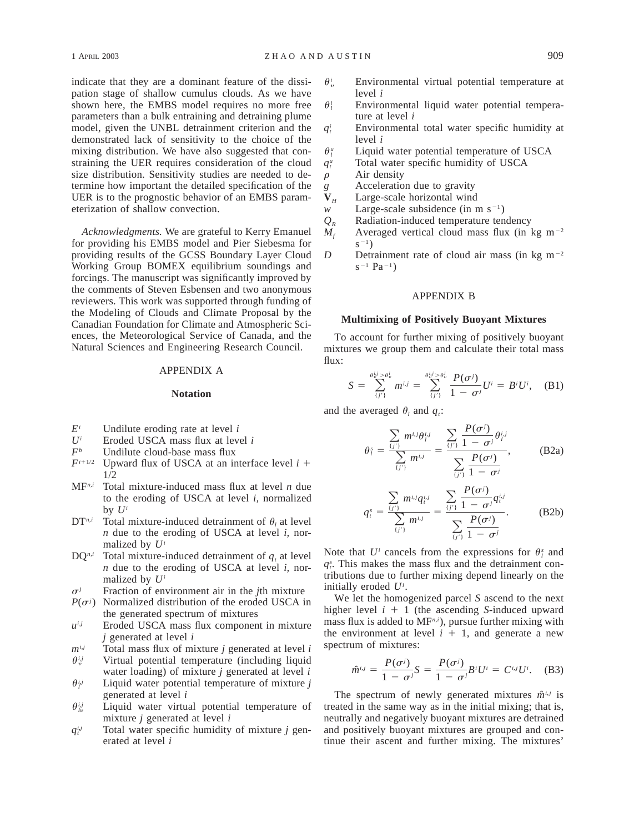indicate that they are a dominant feature of the dissipation stage of shallow cumulus clouds. As we have shown here, the EMBS model requires no more free parameters than a bulk entraining and detraining plume model, given the UNBL detrainment criterion and the demonstrated lack of sensitivity to the choice of the mixing distribution. We have also suggested that constraining the UER requires consideration of the cloud size distribution. Sensitivity studies are needed to determine how important the detailed specification of the UER is to the prognostic behavior of an EMBS parameterization of shallow convection.

*Acknowledgments.* We are grateful to Kerry Emanuel for providing his EMBS model and Pier Siebesma for providing results of the GCSS Boundary Layer Cloud Working Group BOMEX equilibrium soundings and forcings. The manuscript was significantly improved by the comments of Steven Esbensen and two anonymous reviewers. This work was supported through funding of the Modeling of Clouds and Climate Proposal by the Canadian Foundation for Climate and Atmospheric Sciences, the Meteorological Service of Canada, and the Natural Sciences and Engineering Research Council.

## APPENDIX A

### **Notation**

- 
- $E^i$  Undilute eroding rate at level *i*<br>*U<sup>i</sup>* Eroded USCA mass flux at leve  $U^i$  Eroded USCA mass flux at level *i*<br> $F^b$  Undilute cloud-base mass flux
- $F^b$  Undilute cloud-base mass flux<br> $F^{i+1/2}$  Unward flux of USCA at an in
- Upward flux of USCA at an interface level  $i +$ 1/2
- MF*n,i* Total mixture-induced mass flux at level *n* due to the eroding of USCA at level *i,* normalized by  $U^i$
- $DT^{n,i}$  Total mixture-induced detrainment of  $\theta_i$  at level *n* due to the eroding of USCA at level *i,* normalized by *Ui*
- $DQ^{n,i}$  Total mixture-induced detrainment of  $q_i$  at level *n* due to the eroding of USCA at level *i,* normalized by *Ui*
- $\sigma^j$  Fraction of environment air in the *j*th mixture
- $P(\sigma^j)$  Normalized distribution of the eroded USCA in the generated spectrum of mixtures
- $u^{i,j}$  Eroded USCA mass flux component in mixture *j* generated at level *i*
- $m^{i,j}$  Total mass flux of mixture *j* generated at level *i*  $\theta_{ij}^{ij}$  Virtual potential temperature (including liquid water loading) of mixture *j* generated at level *i*
- $\theta_i^{i,j}$  Liquid water potential temperature of mixture *j* generated at level *i*
- $\theta_{i\nu}^{ij}$  Liquid water virtual potential temperature of mixture *j* generated at level *i*
- $q_t^{i,j}$  Total water specific humidity of mixture *j* generated at level *i*
- $\theta_{v}^{i}$  Environmental virtual potential temperature at level *i*
- $\theta$ <sup>*i*</sup> Environmental liquid water potential temperature at level *i*
- $q_t^i$  Environmental total water specific humidity at level *i*
- $\theta_i^u$  Liquid water potential temperature of USCA  $q_i^u$  Total water specific humidity of USCA
- 
- $\rho$  Air density
- *g* Acceleration due to gravity **V**<sub>u</sub> Large-scale horizontal wind
- $V_H$  Large-scale horizontal wind<br>w Large-scale subsidence (in r
- Large-scale subsidence (in m  $s^{-1}$ )
- $Q_R$  Radiation-induced temperature tendency
- $M_f$  Averaged vertical cloud mass flux (in kg m<sup>-2</sup>)  $S^{-1}$ )
- *D* Detrainment rate of cloud air mass (in kg m<sup>-2</sup>  $s^{-1}$  Pa<sup>-1</sup>)

### APPENDIX B

#### **Multimixing of Positively Buoyant Mixtures**

To account for further mixing of positively buoyant mixtures we group them and calculate their total mass flux:

$$
S = \sum_{\{j'\}}^{\theta_0^j > \theta_0^j} m^{i,j} = \sum_{\{j'\}}^{\theta_0^j > \theta_0^j} \frac{P(\sigma^j)}{1 - \sigma^j} U^i = B^i U^i, \quad (B1)
$$

and the averaged  $\theta_i$  and  $q_i$ :

$$
\theta_{l}^{s} = \frac{\sum_{\{j'\}} m^{i,j} \theta_{l}^{i,j}}{\sum_{\{j'\}} m^{i,j}} = \frac{\sum_{\{j'\}} \frac{P(\sigma^{j})}{1 - \sigma^{j}} \theta_{l}^{i,j}}{\sum_{\{j'\}} \frac{P(\sigma^{j})}{1 - \sigma^{j}}},
$$
(B2a)

$$
q_i^s = \frac{\sum_{\{j'\}} m^{i,j} q_i^{i,j}}{\sum_{\{j'\}} m^{i,j}} = \frac{\sum_{\{j'\}} \frac{P(\sigma^j)}{1 - \sigma^j} q_i^{i,j}}{\sum_{\{j'\}} \frac{P(\sigma^j)}{1 - \sigma^j}}.
$$
 (B2b)

Note that  $U^i$  cancels from the expressions for  $\theta_i^s$  and  $q_t^s$ . This makes the mass flux and the detrainment contributions due to further mixing depend linearly on the initially eroded *Ui* .

We let the homogenized parcel *S* ascend to the next higher level  $i + 1$  (the ascending *S*-induced upward mass flux is added to MF*n,i*), pursue further mixing with the environment at level  $i + 1$ , and generate a new spectrum of mixtures:

$$
\hat{m}^{i,j} = \frac{P(\sigma^j)}{1 - \sigma^j} S = \frac{P(\sigma^j)}{1 - \sigma^j} B^i U^i = C^{i,j} U^i.
$$
 (B3)

The spectrum of newly generated mixtures  $\hat{m}^{i,j}$  is treated in the same way as in the initial mixing; that is, neutrally and negatively buoyant mixtures are detrained and positively buoyant mixtures are grouped and continue their ascent and further mixing. The mixtures'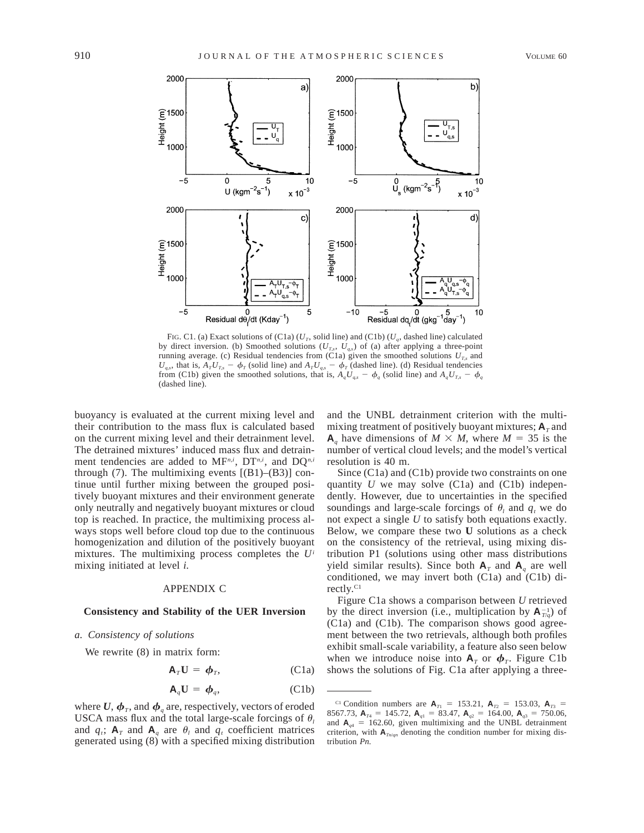

FIG. C1. (a) Exact solutions of (C1a)  $(U_T, \text{ solid line})$  and (C1b)  $(U_q, \text{ dashed line})$  calculated by direct inversion. (b) Smoothed solutions  $(U_{T,s}, U_{q,s})$  of (a) after applying a three-point running average. (c) Residual tendencies from (C1a) given the smoothed solutions  $U_{T,s}$  and  $U_{a,s}$ , that is,  $A_T U_{Ts} - \phi_T$  (solid line) and  $A_T U_{as} - \phi_T$  (dashed line). (d) Residual tendencies from (C1b) given the smoothed solutions, that is,  $A_qU_{q,s} - \phi_q$  (solid line) and  $A_qU_{T,s} - \phi_q$ (dashed line).

buoyancy is evaluated at the current mixing level and their contribution to the mass flux is calculated based on the current mixing level and their detrainment level. The detrained mixtures' induced mass flux and detrainment tendencies are added to MF*n,i*, DT*n,i*, and DQ*n,i* through (7). The multimixing events  $[(B1)–(B3)]$  continue until further mixing between the grouped positively buoyant mixtures and their environment generate only neutrally and negatively buoyant mixtures or cloud top is reached. In practice, the multimixing process always stops well before cloud top due to the continuous homogenization and dilution of the positively buoyant mixtures. The multimixing process completes the *Ui* mixing initiated at level *i.*

### APPENDIX C

### **Consistency and Stability of the UER Inversion**

### *a. Consistency of solutions*

We rewrite (8) in matrix form:

$$
\mathbf{A}_T \mathbf{U} = \boldsymbol{\phi}_T, \qquad \qquad \text{(C1a)}
$$

$$
\mathbf{A}_q \mathbf{U} = \boldsymbol{\phi}_q, \qquad \qquad \text{(C1b)}
$$

where  $U, \phi_T$ , and  $\phi_a$  are, respectively, vectors of eroded USCA mass flux and the total large-scale forcings of  $\theta$ , and  $q_t$ ;  $A_T$  and  $A_q$  are  $\theta_l$  and  $q_t$  coefficient matrices generated using (8) with a specified mixing distribution

and the UNBL detrainment criterion with the multimixing treatment of positively buoyant mixtures;  $A_T$  and  $\mathbf{A}_a$  have dimensions of  $M \times M$ , where  $M = 35$  is the number of vertical cloud levels; and the model's vertical resolution is 40 m.

Since (C1a) and (C1b) provide two constraints on one quantity *U* we may solve (C1a) and (C1b) independently. However, due to uncertainties in the specified soundings and large-scale forcings of  $\theta_i$  and  $q_t$  we do not expect a single *U* to satisfy both equations exactly. Below, we compare these two **U** solutions as a check on the consistency of the retrieval, using mixing distribution P1 (solutions using other mass distributions yield similar results). Since both  $A_T$  and  $A_q$  are well conditioned, we may invert both (C1a) and (C1b) directly.<sup>C1</sup>

Figure C1a shows a comparison between *U* retrieved by the direct inversion (i.e., multiplication by  $A_{T/q}^{-1}$ ) of (C1a) and (C1b). The comparison shows good agreement between the two retrievals, although both profiles exhibit small-scale variability, a feature also seen below when we introduce noise into  $A_T$  or  $\phi_T$ . Figure C1b shows the solutions of Fig. C1a after applying a three-

<sup>&</sup>lt;sup>C1</sup> Condition numbers are  $A_{T1} = 153.21$ ,  $A_{T2} = 153.03$ ,  $A_{T3} =$ 8567.73,  $\mathbf{A}_{T4} = 145.72$ ,  $\mathbf{A}_{q1} = 83.47$ ,  $\mathbf{A}_{q2} = 164.00$ ,  $\mathbf{A}_{q3} = 750.06$ , and  $A_{q4}$  = 162.60, given multimixing and the UNBL detrainment criterion, with  $A_{Tn/qn}$  denoting the condition number for mixing distribution *Pn.*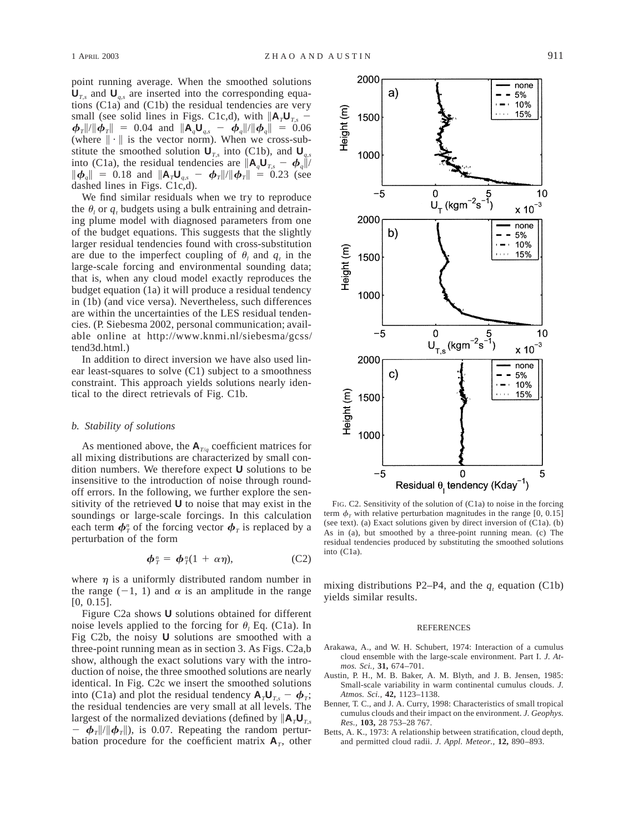point running average. When the smoothed solutions  **and**  $**U**<sub>q,s</sub>$  **are inserted into the corresponding equa**tions (C1a) and (C1b) the residual tendencies are very small (see solid lines in Figs. C1c,d), with  $\|\mathbf{A}_T \mathbf{U}_{T,s}\|$  $\oint_{T}$ ||/|| $\oint_{T}$ || = 0.04 and  $\|\mathbf{A}_q \mathbf{U}_{q,s} - \oint_{q}$ ||/|| $\oint_{q}$ || = 0.06 (where  $\|\cdot\|$  is the vector norm). When we cross-substitute the smoothed solution  $\mathbf{U}_{T,s}$  into (C1b), and  $\mathbf{U}_{q,s}$ into (C1a), the residual tendencies are  $\|\mathbf{A}_q\mathbf{U}_{T,s} - \boldsymbol{\phi}_q\|$ /  $\|\boldsymbol{\phi}_{q}\| = 0.18$  and  $\|\mathbf{A}_{T}\mathbf{U}_{q,s} - \boldsymbol{\phi}_{T}\|/\|\boldsymbol{\phi}_{T}\| = 0.23$  (see dashed lines in Figs. C1c,d).

We find similar residuals when we try to reproduce the  $\theta_i$  or  $q_i$ , budgets using a bulk entraining and detraining plume model with diagnosed parameters from one of the budget equations. This suggests that the slightly larger residual tendencies found with cross-substitution are due to the imperfect coupling of  $\theta_i$  and  $q_i$  in the large-scale forcing and environmental sounding data; that is, when any cloud model exactly reproduces the budget equation (1a) it will produce a residual tendency in (1b) (and vice versa). Nevertheless, such differences are within the uncertainties of the LES residual tendencies. (P. Siebesma 2002, personal communication; available online at http://www.knmi.nl/siebesma/gcss/ tend3d.html.)

In addition to direct inversion we have also used linear least-squares to solve (C1) subject to a smoothness constraint. This approach yields solutions nearly identical to the direct retrievals of Fig. C1b.

#### *b. Stability of solutions*

As mentioned above, the  $A_{T/q}$  coefficient matrices for all mixing distributions are characterized by small condition numbers. We therefore expect **U** solutions to be insensitive to the introduction of noise through roundoff errors. In the following, we further explore the sensitivity of the retrieved **U** to noise that may exist in the soundings or large-scale forcings. In this calculation each term  $\phi^{\textit{n}}_{\textit{T}}$  of the forcing vector  $\phi^{\textit{T}}_{\textit{T}}$  is replaced by a perturbation of the form

$$
\boldsymbol{\phi}_T^n = \boldsymbol{\phi}_T^n(1 + \alpha \eta), \qquad (C2)
$$

where  $\eta$  is a uniformly distributed random number in the range  $(-1, 1)$  and  $\alpha$  is an amplitude in the range [0, 0.15].

Figure C2a shows **U** solutions obtained for different noise levels applied to the forcing for  $\theta$ <sub>*l*</sub> Eq. (C1a). In Fig C2b, the noisy **U** solutions are smoothed with a three-point running mean as in section 3. As Figs. C2a,b show, although the exact solutions vary with the introduction of noise, the three smoothed solutions are nearly identical. In Fig. C2c we insert the smoothed solutions into (C1a) and plot the residual tendency  $A_T U_T = \phi_T$ ; the residual tendencies are very small at all levels. The largest of the normalized deviations (defined by  $\|\mathbf{A}_\tau \mathbf{U}_\tau\|$  $\hat{\phi}_{T}$ // $\hat{\phi}_{T}$ // $\hat{\phi}_{T}$ //), is 0.07. Repeating the random perturbation procedure for the coefficient matrix  $A_T$ , other



FIG. C2. Sensitivity of the solution of (C1a) to noise in the forcing term  $\phi$ <sub>r</sub> with relative perturbation magnitudes in the range [0, 0.15] (see text). (a) Exact solutions given by direct inversion of (C1a). (b) As in (a), but smoothed by a three-point running mean. (c) The residual tendencies produced by substituting the smoothed solutions into (C1a).

mixing distributions P2–P4, and the  $q_t$  equation (C1b) yields similar results.

#### REFERENCES

- Arakawa, A., and W. H. Schubert, 1974: Interaction of a cumulus cloud ensemble with the large-scale environment. Part I. *J. Atmos. Sci.,* **31,** 674–701.
- Austin, P. H., M. B. Baker, A. M. Blyth, and J. B. Jensen, 1985: Small-scale variability in warm continental cumulus clouds. *J. Atmos. Sci.,* **42,** 1123–1138.
- Benner, T. C., and J. A. Curry, 1998: Characteristics of small tropical cumulus clouds and their impact on the environment. *J. Geophys. Res.,* **103,** 28 753–28 767.
- Betts, A. K., 1973: A relationship between stratification, cloud depth, and permitted cloud radii. *J. Appl. Meteor.,* **12,** 890–893.